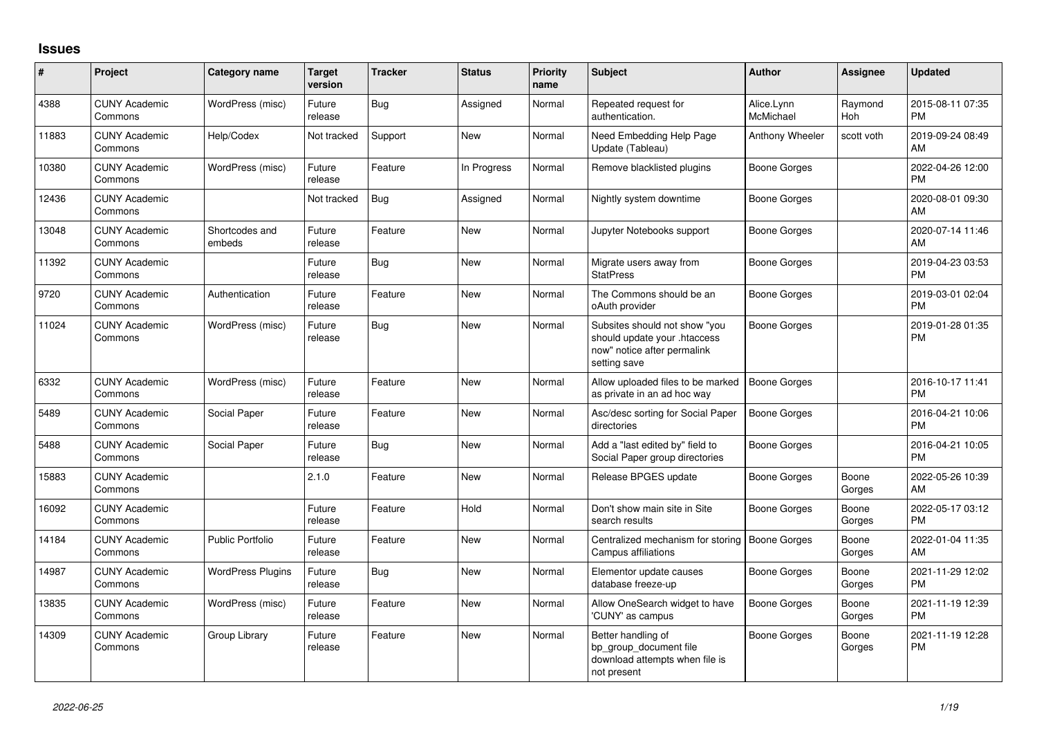## **Issues**

| #     | Project                         | <b>Category name</b>     | <b>Target</b><br>version | <b>Tracker</b> | <b>Status</b> | Priority<br>name | <b>Subject</b>                                                                                               | <b>Author</b>           | <b>Assignee</b> | <b>Updated</b>                |
|-------|---------------------------------|--------------------------|--------------------------|----------------|---------------|------------------|--------------------------------------------------------------------------------------------------------------|-------------------------|-----------------|-------------------------------|
| 4388  | <b>CUNY Academic</b><br>Commons | WordPress (misc)         | Future<br>release        | <b>Bug</b>     | Assigned      | Normal           | Repeated request for<br>authentication.                                                                      | Alice.Lynn<br>McMichael | Raymond<br>Hoh  | 2015-08-11 07:35<br><b>PM</b> |
| 11883 | <b>CUNY Academic</b><br>Commons | Help/Codex               | Not tracked              | Support        | <b>New</b>    | Normal           | Need Embedding Help Page<br>Update (Tableau)                                                                 | Anthony Wheeler         | scott voth      | 2019-09-24 08:49<br>AM        |
| 10380 | <b>CUNY Academic</b><br>Commons | WordPress (misc)         | Future<br>release        | Feature        | In Progress   | Normal           | Remove blacklisted plugins                                                                                   | <b>Boone Gorges</b>     |                 | 2022-04-26 12:00<br><b>PM</b> |
| 12436 | <b>CUNY Academic</b><br>Commons |                          | Not tracked              | <b>Bug</b>     | Assigned      | Normal           | Nightly system downtime                                                                                      | <b>Boone Gorges</b>     |                 | 2020-08-01 09:30<br>AM        |
| 13048 | <b>CUNY Academic</b><br>Commons | Shortcodes and<br>embeds | Future<br>release        | Feature        | <b>New</b>    | Normal           | Jupyter Notebooks support                                                                                    | <b>Boone Gorges</b>     |                 | 2020-07-14 11:46<br>AM        |
| 11392 | <b>CUNY Academic</b><br>Commons |                          | Future<br>release        | <b>Bug</b>     | <b>New</b>    | Normal           | Migrate users away from<br><b>StatPress</b>                                                                  | <b>Boone Gorges</b>     |                 | 2019-04-23 03:53<br><b>PM</b> |
| 9720  | <b>CUNY Academic</b><br>Commons | Authentication           | Future<br>release        | Feature        | New           | Normal           | The Commons should be an<br>oAuth provider                                                                   | <b>Boone Gorges</b>     |                 | 2019-03-01 02:04<br><b>PM</b> |
| 11024 | <b>CUNY Academic</b><br>Commons | WordPress (misc)         | Future<br>release        | <b>Bug</b>     | <b>New</b>    | Normal           | Subsites should not show "you<br>should update your .htaccess<br>now" notice after permalink<br>setting save | <b>Boone Gorges</b>     |                 | 2019-01-28 01:35<br><b>PM</b> |
| 6332  | <b>CUNY Academic</b><br>Commons | WordPress (misc)         | Future<br>release        | Feature        | <b>New</b>    | Normal           | Allow uploaded files to be marked<br>as private in an ad hoc way                                             | <b>Boone Gorges</b>     |                 | 2016-10-17 11:41<br><b>PM</b> |
| 5489  | <b>CUNY Academic</b><br>Commons | Social Paper             | Future<br>release        | Feature        | <b>New</b>    | Normal           | Asc/desc sorting for Social Paper<br>directories                                                             | <b>Boone Gorges</b>     |                 | 2016-04-21 10:06<br><b>PM</b> |
| 5488  | <b>CUNY Academic</b><br>Commons | Social Paper             | Future<br>release        | <b>Bug</b>     | <b>New</b>    | Normal           | Add a "last edited by" field to<br>Social Paper group directories                                            | <b>Boone Gorges</b>     |                 | 2016-04-21 10:05<br><b>PM</b> |
| 15883 | <b>CUNY Academic</b><br>Commons |                          | 2.1.0                    | Feature        | <b>New</b>    | Normal           | Release BPGES update                                                                                         | Boone Gorges            | Boone<br>Gorges | 2022-05-26 10:39<br>AM        |
| 16092 | <b>CUNY Academic</b><br>Commons |                          | Future<br>release        | Feature        | Hold          | Normal           | Don't show main site in Site<br>search results                                                               | <b>Boone Gorges</b>     | Boone<br>Gorges | 2022-05-17 03:12<br><b>PM</b> |
| 14184 | <b>CUNY Academic</b><br>Commons | <b>Public Portfolio</b>  | Future<br>release        | Feature        | <b>New</b>    | Normal           | Centralized mechanism for storing<br>Campus affiliations                                                     | <b>Boone Gorges</b>     | Boone<br>Gorges | 2022-01-04 11:35<br>AM        |
| 14987 | <b>CUNY Academic</b><br>Commons | <b>WordPress Plugins</b> | Future<br>release        | <b>Bug</b>     | <b>New</b>    | Normal           | Elementor update causes<br>database freeze-up                                                                | <b>Boone Gorges</b>     | Boone<br>Gorges | 2021-11-29 12:02<br><b>PM</b> |
| 13835 | <b>CUNY Academic</b><br>Commons | WordPress (misc)         | Future<br>release        | Feature        | <b>New</b>    | Normal           | Allow OneSearch widget to have<br>'CUNY' as campus                                                           | <b>Boone Gorges</b>     | Boone<br>Gorges | 2021-11-19 12:39<br><b>PM</b> |
| 14309 | <b>CUNY Academic</b><br>Commons | Group Library            | Future<br>release        | Feature        | <b>New</b>    | Normal           | Better handling of<br>bp group document file<br>download attempts when file is<br>not present                | <b>Boone Gorges</b>     | Boone<br>Gorges | 2021-11-19 12:28<br><b>PM</b> |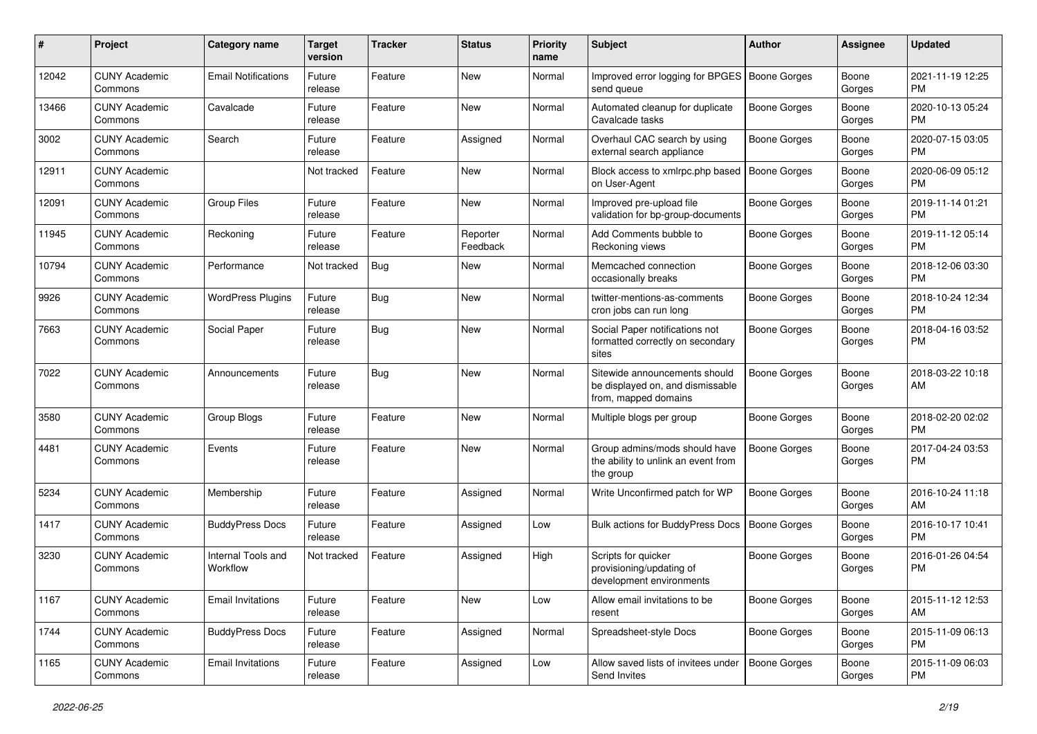| #     | Project                         | <b>Category name</b>           | <b>Target</b><br>version | <b>Tracker</b> | <b>Status</b>        | <b>Priority</b><br>name | Subject                                                                                   | Author              | <b>Assignee</b> | <b>Updated</b>                |
|-------|---------------------------------|--------------------------------|--------------------------|----------------|----------------------|-------------------------|-------------------------------------------------------------------------------------------|---------------------|-----------------|-------------------------------|
| 12042 | <b>CUNY Academic</b><br>Commons | <b>Email Notifications</b>     | Future<br>release        | Feature        | <b>New</b>           | Normal                  | Improved error logging for BPGES   Boone Gorges<br>send queue                             |                     | Boone<br>Gorges | 2021-11-19 12:25<br><b>PM</b> |
| 13466 | <b>CUNY Academic</b><br>Commons | Cavalcade                      | Future<br>release        | Feature        | New                  | Normal                  | Automated cleanup for duplicate<br>Cavalcade tasks                                        | <b>Boone Gorges</b> | Boone<br>Gorges | 2020-10-13 05:24<br><b>PM</b> |
| 3002  | <b>CUNY Academic</b><br>Commons | Search                         | Future<br>release        | Feature        | Assigned             | Normal                  | Overhaul CAC search by using<br>external search appliance                                 | Boone Gorges        | Boone<br>Gorges | 2020-07-15 03:05<br><b>PM</b> |
| 12911 | <b>CUNY Academic</b><br>Commons |                                | Not tracked              | Feature        | <b>New</b>           | Normal                  | Block access to xmlrpc.php based<br>on User-Agent                                         | <b>Boone Gorges</b> | Boone<br>Gorges | 2020-06-09 05:12<br><b>PM</b> |
| 12091 | <b>CUNY Academic</b><br>Commons | <b>Group Files</b>             | Future<br>release        | Feature        | <b>New</b>           | Normal                  | Improved pre-upload file<br>validation for bp-group-documents                             | Boone Gorges        | Boone<br>Gorges | 2019-11-14 01:21<br><b>PM</b> |
| 11945 | <b>CUNY Academic</b><br>Commons | Reckoning                      | Future<br>release        | Feature        | Reporter<br>Feedback | Normal                  | Add Comments bubble to<br>Reckoning views                                                 | Boone Gorges        | Boone<br>Gorges | 2019-11-12 05:14<br><b>PM</b> |
| 10794 | <b>CUNY Academic</b><br>Commons | Performance                    | Not tracked              | <b>Bug</b>     | New                  | Normal                  | Memcached connection<br>occasionally breaks                                               | Boone Gorges        | Boone<br>Gorges | 2018-12-06 03:30<br><b>PM</b> |
| 9926  | <b>CUNY Academic</b><br>Commons | <b>WordPress Plugins</b>       | Future<br>release        | <b>Bug</b>     | <b>New</b>           | Normal                  | twitter-mentions-as-comments<br>cron jobs can run long                                    | <b>Boone Gorges</b> | Boone<br>Gorges | 2018-10-24 12:34<br><b>PM</b> |
| 7663  | <b>CUNY Academic</b><br>Commons | Social Paper                   | Future<br>release        | <b>Bug</b>     | New                  | Normal                  | Social Paper notifications not<br>formatted correctly on secondary<br>sites               | Boone Gorges        | Boone<br>Gorges | 2018-04-16 03:52<br><b>PM</b> |
| 7022  | <b>CUNY Academic</b><br>Commons | Announcements                  | Future<br>release        | <b>Bug</b>     | New                  | Normal                  | Sitewide announcements should<br>be displayed on, and dismissable<br>from, mapped domains | <b>Boone Gorges</b> | Boone<br>Gorges | 2018-03-22 10:18<br>AM        |
| 3580  | <b>CUNY Academic</b><br>Commons | Group Blogs                    | Future<br>release        | Feature        | <b>New</b>           | Normal                  | Multiple blogs per group                                                                  | <b>Boone Gorges</b> | Boone<br>Gorges | 2018-02-20 02:02<br><b>PM</b> |
| 4481  | <b>CUNY Academic</b><br>Commons | Events                         | Future<br>release        | Feature        | New                  | Normal                  | Group admins/mods should have<br>the ability to unlink an event from<br>the group         | Boone Gorges        | Boone<br>Gorges | 2017-04-24 03:53<br><b>PM</b> |
| 5234  | <b>CUNY Academic</b><br>Commons | Membership                     | Future<br>release        | Feature        | Assigned             | Normal                  | Write Unconfirmed patch for WP                                                            | <b>Boone Gorges</b> | Boone<br>Gorges | 2016-10-24 11:18<br>AM        |
| 1417  | <b>CUNY Academic</b><br>Commons | <b>BuddyPress Docs</b>         | Future<br>release        | Feature        | Assigned             | Low                     | Bulk actions for BuddyPress Docs                                                          | <b>Boone Gorges</b> | Boone<br>Gorges | 2016-10-17 10:41<br><b>PM</b> |
| 3230  | <b>CUNY Academic</b><br>Commons | Internal Tools and<br>Workflow | Not tracked              | Feature        | Assigned             | High                    | Scripts for quicker<br>provisioning/updating of<br>development environments               | Boone Gorges        | Boone<br>Gorges | 2016-01-26 04:54<br><b>PM</b> |
| 1167  | <b>CUNY Academic</b><br>Commons | <b>Email Invitations</b>       | Future<br>release        | Feature        | New                  | Low                     | Allow email invitations to be<br>resent                                                   | Boone Gorges        | Boone<br>Gorges | 2015-11-12 12:53<br>AM        |
| 1744  | <b>CUNY Academic</b><br>Commons | <b>BuddyPress Docs</b>         | Future<br>release        | Feature        | Assigned             | Normal                  | Spreadsheet-style Docs                                                                    | Boone Gorges        | Boone<br>Gorges | 2015-11-09 06:13<br><b>PM</b> |
| 1165  | <b>CUNY Academic</b><br>Commons | <b>Email Invitations</b>       | Future<br>release        | Feature        | Assigned             | Low                     | Allow saved lists of invitees under<br>Send Invites                                       | Boone Gorges        | Boone<br>Gorges | 2015-11-09 06:03<br><b>PM</b> |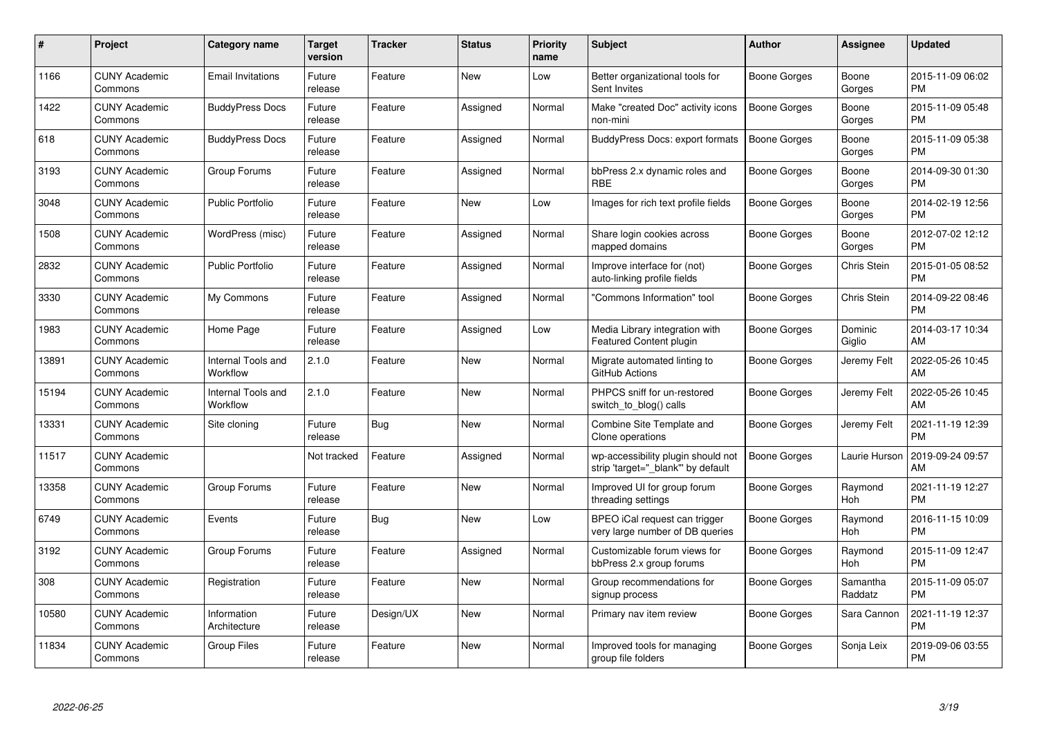| $\#$  | Project                         | <b>Category name</b>           | <b>Target</b><br>version | <b>Tracker</b> | <b>Status</b> | <b>Priority</b><br>name | <b>Subject</b>                                                          | Author              | <b>Assignee</b>     | <b>Updated</b>                |
|-------|---------------------------------|--------------------------------|--------------------------|----------------|---------------|-------------------------|-------------------------------------------------------------------------|---------------------|---------------------|-------------------------------|
| 1166  | <b>CUNY Academic</b><br>Commons | <b>Email Invitations</b>       | Future<br>release        | Feature        | <b>New</b>    | Low                     | Better organizational tools for<br>Sent Invites                         | Boone Gorges        | Boone<br>Gorges     | 2015-11-09 06:02<br><b>PM</b> |
| 1422  | <b>CUNY Academic</b><br>Commons | <b>BuddyPress Docs</b>         | Future<br>release        | Feature        | Assigned      | Normal                  | Make "created Doc" activity icons<br>non-mini                           | Boone Gorges        | Boone<br>Gorges     | 2015-11-09 05:48<br><b>PM</b> |
| 618   | <b>CUNY Academic</b><br>Commons | <b>BuddyPress Docs</b>         | Future<br>release        | Feature        | Assigned      | Normal                  | BuddyPress Docs: export formats                                         | <b>Boone Gorges</b> | Boone<br>Gorges     | 2015-11-09 05:38<br><b>PM</b> |
| 3193  | <b>CUNY Academic</b><br>Commons | Group Forums                   | Future<br>release        | Feature        | Assigned      | Normal                  | bbPress 2.x dynamic roles and<br><b>RBE</b>                             | Boone Gorges        | Boone<br>Gorges     | 2014-09-30 01:30<br><b>PM</b> |
| 3048  | <b>CUNY Academic</b><br>Commons | <b>Public Portfolio</b>        | Future<br>release        | Feature        | <b>New</b>    | Low                     | Images for rich text profile fields                                     | Boone Gorges        | Boone<br>Gorges     | 2014-02-19 12:56<br><b>PM</b> |
| 1508  | <b>CUNY Academic</b><br>Commons | WordPress (misc)               | Future<br>release        | Feature        | Assigned      | Normal                  | Share login cookies across<br>mapped domains                            | Boone Gorges        | Boone<br>Gorges     | 2012-07-02 12:12<br><b>PM</b> |
| 2832  | <b>CUNY Academic</b><br>Commons | <b>Public Portfolio</b>        | Future<br>release        | Feature        | Assigned      | Normal                  | Improve interface for (not)<br>auto-linking profile fields              | <b>Boone Gorges</b> | Chris Stein         | 2015-01-05 08:52<br><b>PM</b> |
| 3330  | <b>CUNY Academic</b><br>Commons | My Commons                     | Future<br>release        | Feature        | Assigned      | Normal                  | 'Commons Information" tool                                              | Boone Gorges        | Chris Stein         | 2014-09-22 08:46<br><b>PM</b> |
| 1983  | <b>CUNY Academic</b><br>Commons | Home Page                      | Future<br>release        | Feature        | Assigned      | Low                     | Media Library integration with<br><b>Featured Content plugin</b>        | Boone Gorges        | Dominic<br>Giglio   | 2014-03-17 10:34<br>AM        |
| 13891 | <b>CUNY Academic</b><br>Commons | Internal Tools and<br>Workflow | 2.1.0                    | Feature        | <b>New</b>    | Normal                  | Migrate automated linting to<br>GitHub Actions                          | Boone Gorges        | Jeremy Felt         | 2022-05-26 10:45<br>AM        |
| 15194 | <b>CUNY Academic</b><br>Commons | Internal Tools and<br>Workflow | 2.1.0                    | Feature        | <b>New</b>    | Normal                  | PHPCS sniff for un-restored<br>switch_to_blog() calls                   | Boone Gorges        | Jeremy Felt         | 2022-05-26 10:45<br>AM        |
| 13331 | <b>CUNY Academic</b><br>Commons | Site cloning                   | Future<br>release        | <b>Bug</b>     | <b>New</b>    | Normal                  | Combine Site Template and<br>Clone operations                           | Boone Gorges        | Jeremy Felt         | 2021-11-19 12:39<br><b>PM</b> |
| 11517 | <b>CUNY Academic</b><br>Commons |                                | Not tracked              | Feature        | Assigned      | Normal                  | wp-accessibility plugin should not<br>strip 'target=" blank" by default | <b>Boone Gorges</b> | Laurie Hurson       | 2019-09-24 09:57<br>AM        |
| 13358 | <b>CUNY Academic</b><br>Commons | Group Forums                   | Future<br>release        | Feature        | <b>New</b>    | Normal                  | Improved UI for group forum<br>threading settings                       | Boone Gorges        | Raymond<br>Hoh      | 2021-11-19 12:27<br><b>PM</b> |
| 6749  | <b>CUNY Academic</b><br>Commons | Events                         | Future<br>release        | <b>Bug</b>     | <b>New</b>    | Low                     | BPEO iCal request can trigger<br>very large number of DB queries        | Boone Gorges        | Raymond<br>Hoh      | 2016-11-15 10:09<br><b>PM</b> |
| 3192  | <b>CUNY Academic</b><br>Commons | Group Forums                   | Future<br>release        | Feature        | Assigned      | Normal                  | Customizable forum views for<br>bbPress 2.x group forums                | <b>Boone Gorges</b> | Raymond<br>Hoh      | 2015-11-09 12:47<br><b>PM</b> |
| 308   | <b>CUNY Academic</b><br>Commons | Registration                   | Future<br>release        | Feature        | New           | Normal                  | Group recommendations for<br>signup process                             | Boone Gorges        | Samantha<br>Raddatz | 2015-11-09 05:07<br><b>PM</b> |
| 10580 | <b>CUNY Academic</b><br>Commons | Information<br>Architecture    | Future<br>release        | Design/UX      | <b>New</b>    | Normal                  | Primary nav item review                                                 | Boone Gorges        | Sara Cannon         | 2021-11-19 12:37<br><b>PM</b> |
| 11834 | <b>CUNY Academic</b><br>Commons | Group Files                    | Future<br>release        | Feature        | <b>New</b>    | Normal                  | Improved tools for managing<br>group file folders                       | Boone Gorges        | Sonja Leix          | 2019-09-06 03:55<br>PM        |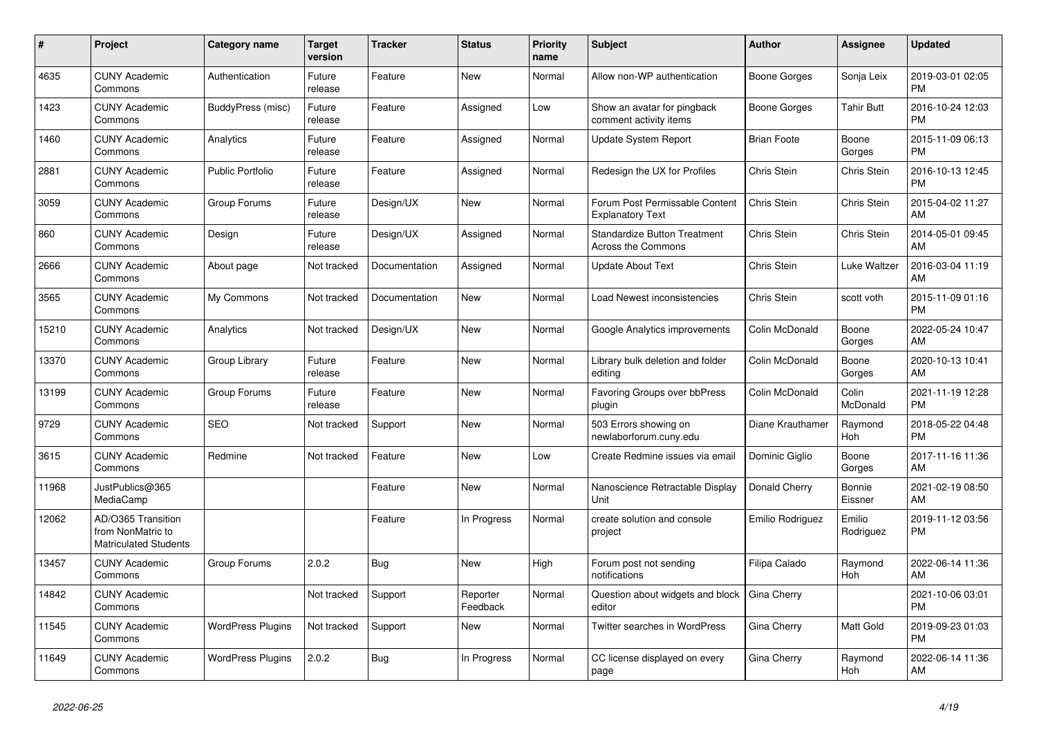| $\#$  | <b>Project</b>                                                          | Category name            | <b>Target</b><br>version | <b>Tracker</b> | <b>Status</b>        | <b>Priority</b><br>name | <b>Subject</b>                                            | Author             | Assignee            | <b>Updated</b>                |
|-------|-------------------------------------------------------------------------|--------------------------|--------------------------|----------------|----------------------|-------------------------|-----------------------------------------------------------|--------------------|---------------------|-------------------------------|
| 4635  | <b>CUNY Academic</b><br>Commons                                         | Authentication           | Future<br>release        | Feature        | <b>New</b>           | Normal                  | Allow non-WP authentication                               | Boone Gorges       | Sonja Leix          | 2019-03-01 02:05<br><b>PM</b> |
| 1423  | <b>CUNY Academic</b><br>Commons                                         | BuddyPress (misc)        | Future<br>release        | Feature        | Assigned             | Low                     | Show an avatar for pingback<br>comment activity items     | Boone Gorges       | <b>Tahir Butt</b>   | 2016-10-24 12:03<br><b>PM</b> |
| 1460  | <b>CUNY Academic</b><br>Commons                                         | Analytics                | Future<br>release        | Feature        | Assigned             | Normal                  | Update System Report                                      | <b>Brian Foote</b> | Boone<br>Gorges     | 2015-11-09 06:13<br><b>PM</b> |
| 2881  | <b>CUNY Academic</b><br>Commons                                         | <b>Public Portfolio</b>  | Future<br>release        | Feature        | Assigned             | Normal                  | Redesign the UX for Profiles                              | Chris Stein        | Chris Stein         | 2016-10-13 12:45<br><b>PM</b> |
| 3059  | <b>CUNY Academic</b><br>Commons                                         | Group Forums             | Future<br>release        | Design/UX      | <b>New</b>           | Normal                  | Forum Post Permissable Content<br><b>Explanatory Text</b> | Chris Stein        | Chris Stein         | 2015-04-02 11:27<br>AM        |
| 860   | <b>CUNY Academic</b><br>Commons                                         | Design                   | Future<br>release        | Design/UX      | Assigned             | Normal                  | <b>Standardize Button Treatment</b><br>Across the Commons | <b>Chris Stein</b> | Chris Stein         | 2014-05-01 09:45<br>AM        |
| 2666  | <b>CUNY Academic</b><br>Commons                                         | About page               | Not tracked              | Documentation  | Assigned             | Normal                  | <b>Update About Text</b>                                  | Chris Stein        | Luke Waltzer        | 2016-03-04 11:19<br>AM        |
| 3565  | <b>CUNY Academic</b><br>Commons                                         | My Commons               | Not tracked              | Documentation  | <b>New</b>           | Normal                  | Load Newest inconsistencies                               | Chris Stein        | scott voth          | 2015-11-09 01:16<br><b>PM</b> |
| 15210 | <b>CUNY Academic</b><br>Commons                                         | Analytics                | Not tracked              | Design/UX      | <b>New</b>           | Normal                  | Google Analytics improvements                             | Colin McDonald     | Boone<br>Gorges     | 2022-05-24 10:47<br>AM        |
| 13370 | <b>CUNY Academic</b><br>Commons                                         | Group Library            | Future<br>release        | Feature        | <b>New</b>           | Normal                  | Library bulk deletion and folder<br>editina               | Colin McDonald     | Boone<br>Gorges     | 2020-10-13 10:41<br>AM        |
| 13199 | <b>CUNY Academic</b><br>Commons                                         | Group Forums             | Future<br>release        | Feature        | <b>New</b>           | Normal                  | <b>Favoring Groups over bbPress</b><br>plugin             | Colin McDonald     | Colin<br>McDonald   | 2021-11-19 12:28<br><b>PM</b> |
| 9729  | <b>CUNY Academic</b><br>Commons                                         | <b>SEO</b>               | Not tracked              | Support        | <b>New</b>           | Normal                  | 503 Errors showing on<br>newlaborforum.cuny.edu           | Diane Krauthamer   | Raymond<br>Hoh      | 2018-05-22 04:48<br><b>PM</b> |
| 3615  | <b>CUNY Academic</b><br>Commons                                         | Redmine                  | Not tracked              | Feature        | <b>New</b>           | Low                     | Create Redmine issues via email                           | Dominic Giglio     | Boone<br>Gorges     | 2017-11-16 11:36<br>AM        |
| 11968 | JustPublics@365<br>MediaCamp                                            |                          |                          | Feature        | <b>New</b>           | Normal                  | Nanoscience Retractable Display<br>Unit                   | Donald Cherry      | Bonnie<br>Eissner   | 2021-02-19 08:50<br>AM        |
| 12062 | AD/O365 Transition<br>from NonMatric to<br><b>Matriculated Students</b> |                          |                          | Feature        | In Progress          | Normal                  | create solution and console<br>project                    | Emilio Rodriguez   | Emilio<br>Rodriguez | 2019-11-12 03:56<br><b>PM</b> |
| 13457 | <b>CUNY Academic</b><br>Commons                                         | Group Forums             | 2.0.2                    | <b>Bug</b>     | <b>New</b>           | High                    | Forum post not sending<br>notifications                   | Filipa Calado      | Raymond<br>Hoh      | 2022-06-14 11:36<br>AM        |
| 14842 | <b>CUNY Academic</b><br>Commons                                         |                          | Not tracked              | Support        | Reporter<br>Feedback | Normal                  | Question about widgets and block<br>editor                | Gina Cherry        |                     | 2021-10-06 03:01<br><b>PM</b> |
| 11545 | <b>CUNY Academic</b><br>Commons                                         | <b>WordPress Plugins</b> | Not tracked              | Support        | <b>New</b>           | Normal                  | <b>Twitter searches in WordPress</b>                      | Gina Cherry        | <b>Matt Gold</b>    | 2019-09-23 01:03<br><b>PM</b> |
| 11649 | <b>CUNY Academic</b><br>Commons                                         | <b>WordPress Plugins</b> | 2.0.2                    | Bug            | In Progress          | Normal                  | CC license displayed on every<br>page                     | Gina Cherry        | Raymond<br>Hoh      | 2022-06-14 11:36<br>AM        |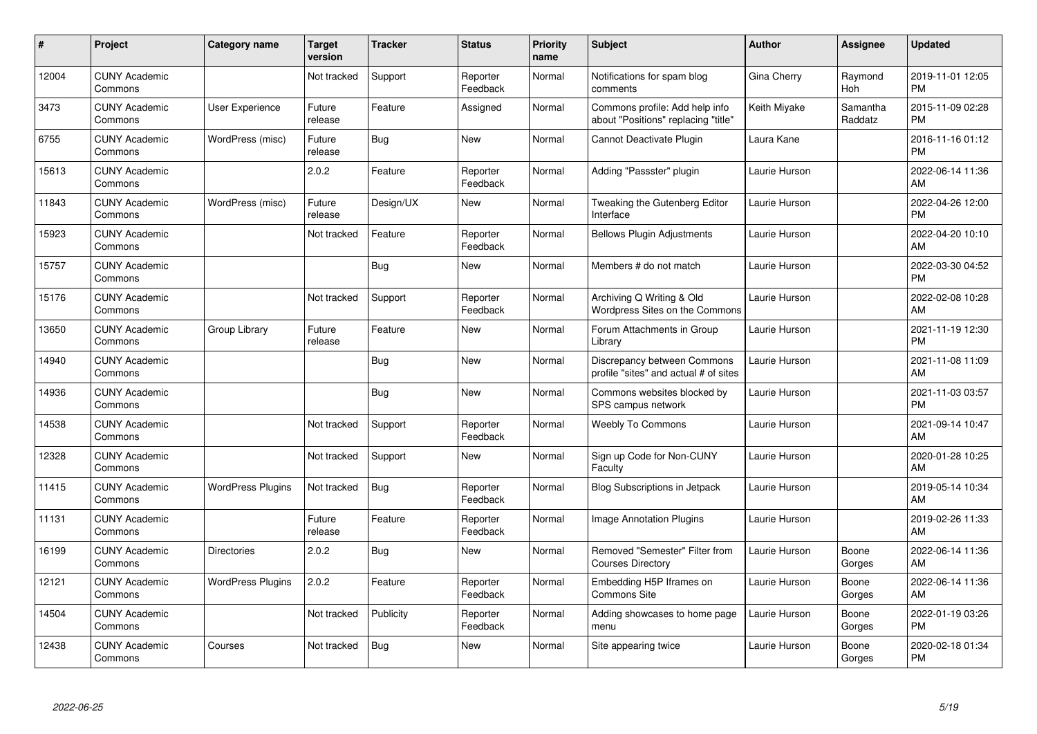| #     | <b>Project</b>                  | <b>Category name</b>     | <b>Target</b><br>version | <b>Tracker</b> | <b>Status</b>        | <b>Priority</b><br>name | <b>Subject</b>                                                        | <b>Author</b> | <b>Assignee</b>     | <b>Updated</b>                |
|-------|---------------------------------|--------------------------|--------------------------|----------------|----------------------|-------------------------|-----------------------------------------------------------------------|---------------|---------------------|-------------------------------|
| 12004 | <b>CUNY Academic</b><br>Commons |                          | Not tracked              | Support        | Reporter<br>Feedback | Normal                  | Notifications for spam blog<br>comments                               | Gina Cherry   | Raymond<br>Hoh      | 2019-11-01 12:05<br><b>PM</b> |
| 3473  | <b>CUNY Academic</b><br>Commons | User Experience          | Future<br>release        | Feature        | Assigned             | Normal                  | Commons profile: Add help info<br>about "Positions" replacing "title' | Keith Miyake  | Samantha<br>Raddatz | 2015-11-09 02:28<br><b>PM</b> |
| 6755  | <b>CUNY Academic</b><br>Commons | WordPress (misc)         | Future<br>release        | Bug            | New                  | Normal                  | Cannot Deactivate Plugin                                              | Laura Kane    |                     | 2016-11-16 01:12<br><b>PM</b> |
| 15613 | <b>CUNY Academic</b><br>Commons |                          | 2.0.2                    | Feature        | Reporter<br>Feedback | Normal                  | Adding "Passster" plugin                                              | Laurie Hurson |                     | 2022-06-14 11:36<br>AM        |
| 11843 | <b>CUNY Academic</b><br>Commons | WordPress (misc)         | Future<br>release        | Design/UX      | <b>New</b>           | Normal                  | Tweaking the Gutenberg Editor<br>Interface                            | Laurie Hurson |                     | 2022-04-26 12:00<br><b>PM</b> |
| 15923 | <b>CUNY Academic</b><br>Commons |                          | Not tracked              | Feature        | Reporter<br>Feedback | Normal                  | <b>Bellows Plugin Adjustments</b>                                     | Laurie Hurson |                     | 2022-04-20 10:10<br>AM        |
| 15757 | <b>CUNY Academic</b><br>Commons |                          |                          | <b>Bug</b>     | <b>New</b>           | Normal                  | Members # do not match                                                | Laurie Hurson |                     | 2022-03-30 04:52<br><b>PM</b> |
| 15176 | <b>CUNY Academic</b><br>Commons |                          | Not tracked              | Support        | Reporter<br>Feedback | Normal                  | Archiving Q Writing & Old<br>Wordpress Sites on the Commons           | Laurie Hurson |                     | 2022-02-08 10:28<br>AM        |
| 13650 | <b>CUNY Academic</b><br>Commons | Group Library            | Future<br>release        | Feature        | <b>New</b>           | Normal                  | Forum Attachments in Group<br>Library                                 | Laurie Hurson |                     | 2021-11-19 12:30<br><b>PM</b> |
| 14940 | <b>CUNY Academic</b><br>Commons |                          |                          | Bug            | <b>New</b>           | Normal                  | Discrepancy between Commons<br>profile "sites" and actual # of sites  | Laurie Hurson |                     | 2021-11-08 11:09<br>AM        |
| 14936 | <b>CUNY Academic</b><br>Commons |                          |                          | <b>Bug</b>     | <b>New</b>           | Normal                  | Commons websites blocked by<br>SPS campus network                     | Laurie Hurson |                     | 2021-11-03 03:57<br><b>PM</b> |
| 14538 | <b>CUNY Academic</b><br>Commons |                          | Not tracked              | Support        | Reporter<br>Feedback | Normal                  | <b>Weebly To Commons</b>                                              | Laurie Hurson |                     | 2021-09-14 10:47<br>AM        |
| 12328 | <b>CUNY Academic</b><br>Commons |                          | Not tracked              | Support        | New                  | Normal                  | Sign up Code for Non-CUNY<br>Faculty                                  | Laurie Hurson |                     | 2020-01-28 10:25<br>AM        |
| 11415 | <b>CUNY Academic</b><br>Commons | <b>WordPress Plugins</b> | Not tracked              | Bug            | Reporter<br>Feedback | Normal                  | <b>Blog Subscriptions in Jetpack</b>                                  | Laurie Hurson |                     | 2019-05-14 10:34<br>AM        |
| 11131 | <b>CUNY Academic</b><br>Commons |                          | Future<br>release        | Feature        | Reporter<br>Feedback | Normal                  | Image Annotation Plugins                                              | Laurie Hurson |                     | 2019-02-26 11:33<br>AM        |
| 16199 | <b>CUNY Academic</b><br>Commons | <b>Directories</b>       | 2.0.2                    | <b>Bug</b>     | <b>New</b>           | Normal                  | Removed "Semester" Filter from<br><b>Courses Directory</b>            | Laurie Hurson | Boone<br>Gorges     | 2022-06-14 11:36<br>AM        |
| 12121 | <b>CUNY Academic</b><br>Commons | <b>WordPress Plugins</b> | 2.0.2                    | Feature        | Reporter<br>Feedback | Normal                  | Embedding H5P Iframes on<br>Commons Site                              | Laurie Hurson | Boone<br>Gorges     | 2022-06-14 11:36<br>AM        |
| 14504 | <b>CUNY Academic</b><br>Commons |                          | Not tracked              | Publicity      | Reporter<br>Feedback | Normal                  | Adding showcases to home page<br>menu                                 | Laurie Hurson | Boone<br>Gorges     | 2022-01-19 03:26<br><b>PM</b> |
| 12438 | <b>CUNY Academic</b><br>Commons | Courses                  | Not tracked              | <b>Bug</b>     | New                  | Normal                  | Site appearing twice                                                  | Laurie Hurson | Boone<br>Gorges     | 2020-02-18 01:34<br>PM        |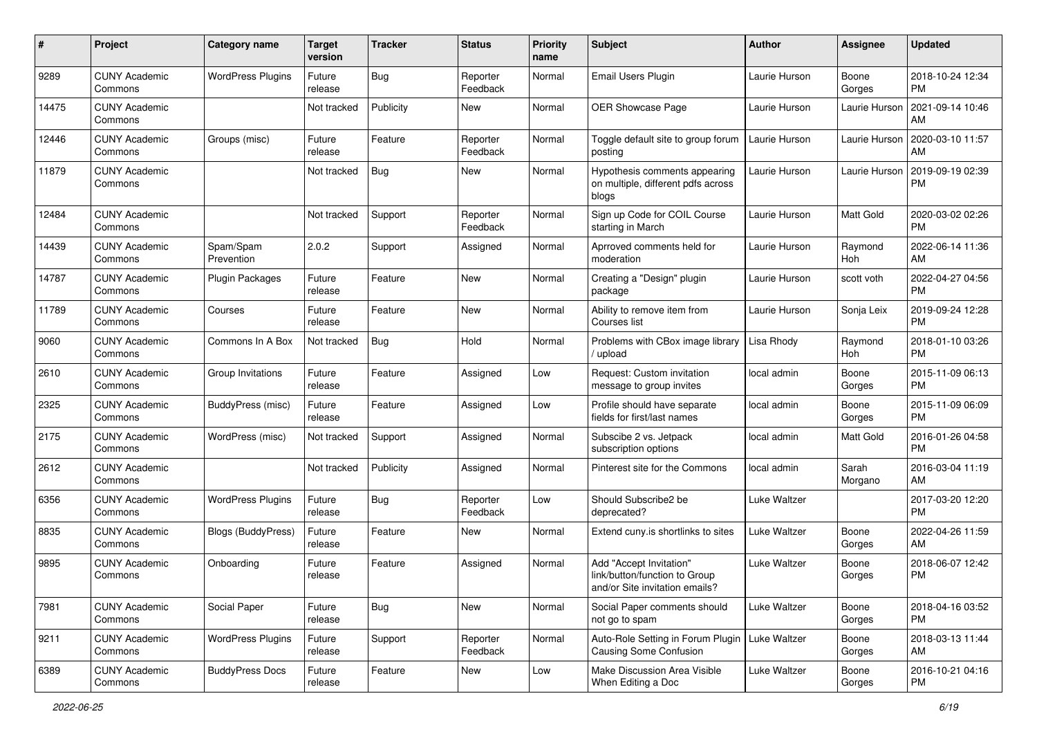| #     | Project                         | <b>Category name</b>     | <b>Target</b><br>version | <b>Tracker</b> | <b>Status</b>        | <b>Priority</b><br>name | Subject                                                                                    | Author        | <b>Assignee</b>  | <b>Updated</b>                |
|-------|---------------------------------|--------------------------|--------------------------|----------------|----------------------|-------------------------|--------------------------------------------------------------------------------------------|---------------|------------------|-------------------------------|
| 9289  | <b>CUNY Academic</b><br>Commons | <b>WordPress Plugins</b> | Future<br>release        | Bug            | Reporter<br>Feedback | Normal                  | Email Users Plugin                                                                         | Laurie Hurson | Boone<br>Gorges  | 2018-10-24 12:34<br>PM        |
| 14475 | <b>CUNY Academic</b><br>Commons |                          | Not tracked              | Publicity      | New                  | Normal                  | OER Showcase Page                                                                          | Laurie Hurson | Laurie Hurson    | 2021-09-14 10:46<br>AM        |
| 12446 | <b>CUNY Academic</b><br>Commons | Groups (misc)            | Future<br>release        | Feature        | Reporter<br>Feedback | Normal                  | Toggle default site to group forum<br>posting                                              | Laurie Hurson | Laurie Hurson    | 2020-03-10 11:57<br>AM        |
| 11879 | <b>CUNY Academic</b><br>Commons |                          | Not tracked              | Bug            | New                  | Normal                  | Hypothesis comments appearing<br>on multiple, different pdfs across<br>blogs               | Laurie Hurson | Laurie Hurson    | 2019-09-19 02:39<br>PM        |
| 12484 | <b>CUNY Academic</b><br>Commons |                          | Not tracked              | Support        | Reporter<br>Feedback | Normal                  | Sign up Code for COIL Course<br>starting in March                                          | Laurie Hurson | Matt Gold        | 2020-03-02 02:26<br><b>PM</b> |
| 14439 | <b>CUNY Academic</b><br>Commons | Spam/Spam<br>Prevention  | 2.0.2                    | Support        | Assigned             | Normal                  | Aprroved comments held for<br>moderation                                                   | Laurie Hurson | Raymond<br>Hoh   | 2022-06-14 11:36<br>AM        |
| 14787 | <b>CUNY Academic</b><br>Commons | <b>Plugin Packages</b>   | Future<br>release        | Feature        | New                  | Normal                  | Creating a "Design" plugin<br>package                                                      | Laurie Hurson | scott voth       | 2022-04-27 04:56<br><b>PM</b> |
| 11789 | <b>CUNY Academic</b><br>Commons | Courses                  | Future<br>release        | Feature        | New                  | Normal                  | Ability to remove item from<br>Courses list                                                | Laurie Hurson | Sonja Leix       | 2019-09-24 12:28<br><b>PM</b> |
| 9060  | <b>CUNY Academic</b><br>Commons | Commons In A Box         | Not tracked              | Bug            | Hold                 | Normal                  | Problems with CBox image library<br>upload                                                 | Lisa Rhody    | Raymond<br>Hoh   | 2018-01-10 03:26<br>PM        |
| 2610  | <b>CUNY Academic</b><br>Commons | Group Invitations        | Future<br>release        | Feature        | Assigned             | Low                     | Request: Custom invitation<br>message to group invites                                     | local admin   | Boone<br>Gorges  | 2015-11-09 06:13<br><b>PM</b> |
| 2325  | <b>CUNY Academic</b><br>Commons | BuddyPress (misc)        | Future<br>release        | Feature        | Assigned             | Low                     | Profile should have separate<br>fields for first/last names                                | local admin   | Boone<br>Gorges  | 2015-11-09 06:09<br>PM        |
| 2175  | <b>CUNY Academic</b><br>Commons | WordPress (misc)         | Not tracked              | Support        | Assigned             | Normal                  | Subscibe 2 vs. Jetpack<br>subscription options                                             | local admin   | Matt Gold        | 2016-01-26 04:58<br><b>PM</b> |
| 2612  | <b>CUNY Academic</b><br>Commons |                          | Not tracked              | Publicity      | Assigned             | Normal                  | Pinterest site for the Commons                                                             | local admin   | Sarah<br>Morgano | 2016-03-04 11:19<br>AM        |
| 6356  | <b>CUNY Academic</b><br>Commons | <b>WordPress Plugins</b> | Future<br>release        | Bug            | Reporter<br>Feedback | Low                     | Should Subscribe2 be<br>deprecated?                                                        | Luke Waltzer  |                  | 2017-03-20 12:20<br><b>PM</b> |
| 8835  | <b>CUNY Academic</b><br>Commons | Blogs (BuddyPress)       | Future<br>release        | Feature        | New                  | Normal                  | Extend cuny.is shortlinks to sites                                                         | Luke Waltzer  | Boone<br>Gorges  | 2022-04-26 11:59<br>AM        |
| 9895  | <b>CUNY Academic</b><br>Commons | Onboarding               | Future<br>release        | Feature        | Assigned             | Normal                  | Add "Accept Invitation"<br>link/button/function to Group<br>and/or Site invitation emails? | Luke Waltzer  | Boone<br>Gorges  | 2018-06-07 12:42<br><b>PM</b> |
| 7981  | <b>CUNY Academic</b><br>Commons | Social Paper             | Future<br>release        | <b>Bug</b>     | New                  | Normal                  | Social Paper comments should<br>not go to spam                                             | Luke Waltzer  | Boone<br>Gorges  | 2018-04-16 03:52<br>PM        |
| 9211  | <b>CUNY Academic</b><br>Commons | <b>WordPress Plugins</b> | Future<br>release        | Support        | Reporter<br>Feedback | Normal                  | Auto-Role Setting in Forum Plugin   Luke Waltzer<br>Causing Some Confusion                 |               | Boone<br>Gorges  | 2018-03-13 11:44<br>AM        |
| 6389  | <b>CUNY Academic</b><br>Commons | <b>BuddyPress Docs</b>   | Future<br>release        | Feature        | New                  | Low                     | Make Discussion Area Visible<br>When Editing a Doc                                         | Luke Waltzer  | Boone<br>Gorges  | 2016-10-21 04:16<br><b>PM</b> |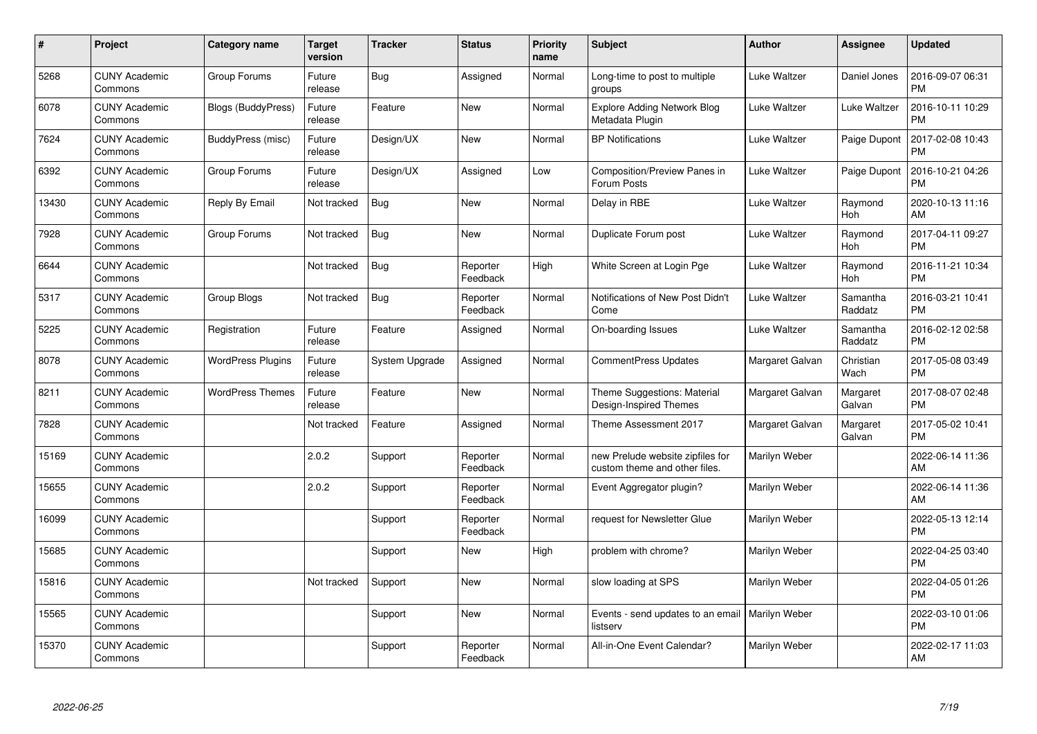| $\#$  | Project                         | Category name             | <b>Target</b><br>version | <b>Tracker</b> | <b>Status</b>        | <b>Priority</b><br>name | <b>Subject</b>                                                    | Author          | Assignee              | <b>Updated</b>                |
|-------|---------------------------------|---------------------------|--------------------------|----------------|----------------------|-------------------------|-------------------------------------------------------------------|-----------------|-----------------------|-------------------------------|
| 5268  | <b>CUNY Academic</b><br>Commons | Group Forums              | Future<br>release        | <b>Bug</b>     | Assigned             | Normal                  | Long-time to post to multiple<br>groups                           | Luke Waltzer    | Daniel Jones          | 2016-09-07 06:31<br><b>PM</b> |
| 6078  | <b>CUNY Academic</b><br>Commons | <b>Blogs (BuddyPress)</b> | Future<br>release        | Feature        | <b>New</b>           | Normal                  | <b>Explore Adding Network Blog</b><br>Metadata Plugin             | Luke Waltzer    | Luke Waltzer          | 2016-10-11 10:29<br><b>PM</b> |
| 7624  | <b>CUNY Academic</b><br>Commons | BuddyPress (misc)         | Future<br>release        | Design/UX      | <b>New</b>           | Normal                  | <b>BP Notifications</b>                                           | Luke Waltzer    | Paige Dupont          | 2017-02-08 10:43<br><b>PM</b> |
| 6392  | <b>CUNY Academic</b><br>Commons | Group Forums              | Future<br>release        | Design/UX      | Assigned             | Low                     | Composition/Preview Panes in<br>Forum Posts                       | Luke Waltzer    | Paige Dupont          | 2016-10-21 04:26<br><b>PM</b> |
| 13430 | <b>CUNY Academic</b><br>Commons | Reply By Email            | Not tracked              | Bug            | <b>New</b>           | Normal                  | Delay in RBE                                                      | Luke Waltzer    | Raymond<br><b>Hoh</b> | 2020-10-13 11:16<br>AM        |
| 7928  | <b>CUNY Academic</b><br>Commons | Group Forums              | Not tracked              | <b>Bug</b>     | <b>New</b>           | Normal                  | Duplicate Forum post                                              | Luke Waltzer    | Raymond<br>Hoh        | 2017-04-11 09:27<br><b>PM</b> |
| 6644  | <b>CUNY Academic</b><br>Commons |                           | Not tracked              | Bug            | Reporter<br>Feedback | High                    | White Screen at Login Pge                                         | Luke Waltzer    | Raymond<br><b>Hoh</b> | 2016-11-21 10:34<br><b>PM</b> |
| 5317  | <b>CUNY Academic</b><br>Commons | Group Blogs               | Not tracked              | <b>Bug</b>     | Reporter<br>Feedback | Normal                  | Notifications of New Post Didn't<br>Come                          | Luke Waltzer    | Samantha<br>Raddatz   | 2016-03-21 10:41<br><b>PM</b> |
| 5225  | <b>CUNY Academic</b><br>Commons | Registration              | Future<br>release        | Feature        | Assigned             | Normal                  | On-boarding Issues                                                | Luke Waltzer    | Samantha<br>Raddatz   | 2016-02-12 02:58<br><b>PM</b> |
| 8078  | <b>CUNY Academic</b><br>Commons | <b>WordPress Plugins</b>  | Future<br>release        | System Upgrade | Assigned             | Normal                  | <b>CommentPress Updates</b>                                       | Margaret Galvan | Christian<br>Wach     | 2017-05-08 03:49<br><b>PM</b> |
| 8211  | <b>CUNY Academic</b><br>Commons | <b>WordPress Themes</b>   | Future<br>release        | Feature        | <b>New</b>           | Normal                  | Theme Suggestions: Material<br>Design-Inspired Themes             | Margaret Galvan | Margaret<br>Galvan    | 2017-08-07 02:48<br><b>PM</b> |
| 7828  | <b>CUNY Academic</b><br>Commons |                           | Not tracked              | Feature        | Assigned             | Normal                  | Theme Assessment 2017                                             | Margaret Galvan | Margaret<br>Galvan    | 2017-05-02 10:41<br><b>PM</b> |
| 15169 | <b>CUNY Academic</b><br>Commons |                           | 2.0.2                    | Support        | Reporter<br>Feedback | Normal                  | new Prelude website zipfiles for<br>custom theme and other files. | Marilyn Weber   |                       | 2022-06-14 11:36<br>AM        |
| 15655 | <b>CUNY Academic</b><br>Commons |                           | 2.0.2                    | Support        | Reporter<br>Feedback | Normal                  | Event Aggregator plugin?                                          | Marilyn Weber   |                       | 2022-06-14 11:36<br>AM        |
| 16099 | <b>CUNY Academic</b><br>Commons |                           |                          | Support        | Reporter<br>Feedback | Normal                  | request for Newsletter Glue                                       | Marilyn Weber   |                       | 2022-05-13 12:14<br><b>PM</b> |
| 15685 | <b>CUNY Academic</b><br>Commons |                           |                          | Support        | <b>New</b>           | High                    | problem with chrome?                                              | Marilyn Weber   |                       | 2022-04-25 03:40<br><b>PM</b> |
| 15816 | <b>CUNY Academic</b><br>Commons |                           | Not tracked              | Support        | <b>New</b>           | Normal                  | slow loading at SPS                                               | Marilyn Weber   |                       | 2022-04-05 01:26<br><b>PM</b> |
| 15565 | <b>CUNY Academic</b><br>Commons |                           |                          | Support        | <b>New</b>           | Normal                  | Events - send updates to an email<br>listserv                     | Marilyn Weber   |                       | 2022-03-10 01:06<br><b>PM</b> |
| 15370 | <b>CUNY Academic</b><br>Commons |                           |                          | Support        | Reporter<br>Feedback | Normal                  | All-in-One Event Calendar?                                        | Marilyn Weber   |                       | 2022-02-17 11:03<br>AM        |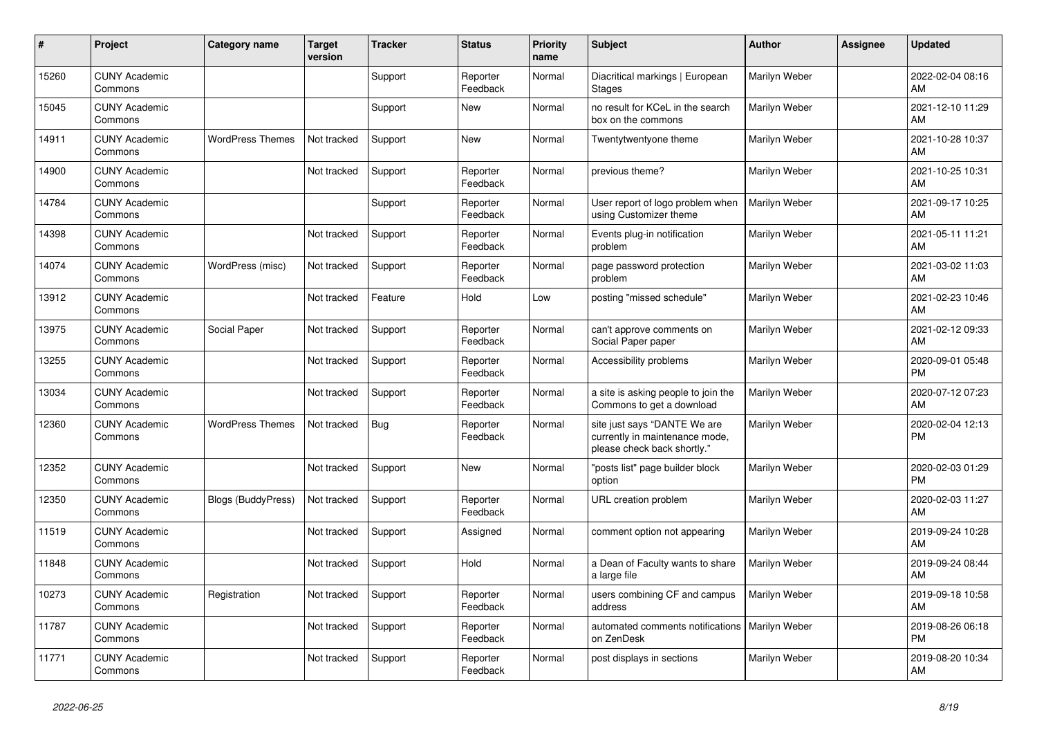| #     | Project                         | <b>Category name</b>      | <b>Target</b><br>version | <b>Tracker</b> | <b>Status</b>        | <b>Priority</b><br>name | <b>Subject</b>                                                                                | <b>Author</b> | <b>Assignee</b> | <b>Updated</b>                |
|-------|---------------------------------|---------------------------|--------------------------|----------------|----------------------|-------------------------|-----------------------------------------------------------------------------------------------|---------------|-----------------|-------------------------------|
| 15260 | <b>CUNY Academic</b><br>Commons |                           |                          | Support        | Reporter<br>Feedback | Normal                  | Diacritical markings   European<br><b>Stages</b>                                              | Marilyn Weber |                 | 2022-02-04 08:16<br>AM        |
| 15045 | <b>CUNY Academic</b><br>Commons |                           |                          | Support        | New                  | Normal                  | no result for KCeL in the search<br>box on the commons                                        | Marilyn Weber |                 | 2021-12-10 11:29<br>AM        |
| 14911 | <b>CUNY Academic</b><br>Commons | <b>WordPress Themes</b>   | Not tracked              | Support        | <b>New</b>           | Normal                  | Twentytwentyone theme                                                                         | Marilyn Weber |                 | 2021-10-28 10:37<br>AM        |
| 14900 | <b>CUNY Academic</b><br>Commons |                           | Not tracked              | Support        | Reporter<br>Feedback | Normal                  | previous theme?                                                                               | Marilyn Weber |                 | 2021-10-25 10:31<br>AM        |
| 14784 | <b>CUNY Academic</b><br>Commons |                           |                          | Support        | Reporter<br>Feedback | Normal                  | User report of logo problem when<br>using Customizer theme                                    | Marilyn Weber |                 | 2021-09-17 10:25<br>AM        |
| 14398 | <b>CUNY Academic</b><br>Commons |                           | Not tracked              | Support        | Reporter<br>Feedback | Normal                  | Events plug-in notification<br>problem                                                        | Marilyn Weber |                 | 2021-05-11 11:21<br>AM        |
| 14074 | <b>CUNY Academic</b><br>Commons | WordPress (misc)          | Not tracked              | Support        | Reporter<br>Feedback | Normal                  | page password protection<br>problem                                                           | Marilyn Weber |                 | 2021-03-02 11:03<br>AM        |
| 13912 | <b>CUNY Academic</b><br>Commons |                           | Not tracked              | Feature        | Hold                 | Low                     | posting "missed schedule"                                                                     | Marilyn Weber |                 | 2021-02-23 10:46<br>AM        |
| 13975 | <b>CUNY Academic</b><br>Commons | Social Paper              | Not tracked              | Support        | Reporter<br>Feedback | Normal                  | can't approve comments on<br>Social Paper paper                                               | Marilyn Weber |                 | 2021-02-12 09:33<br>AM        |
| 13255 | <b>CUNY Academic</b><br>Commons |                           | Not tracked              | Support        | Reporter<br>Feedback | Normal                  | Accessibility problems                                                                        | Marilyn Weber |                 | 2020-09-01 05:48<br><b>PM</b> |
| 13034 | <b>CUNY Academic</b><br>Commons |                           | Not tracked              | Support        | Reporter<br>Feedback | Normal                  | a site is asking people to join the<br>Commons to get a download                              | Marilyn Weber |                 | 2020-07-12 07:23<br>AM        |
| 12360 | <b>CUNY Academic</b><br>Commons | <b>WordPress Themes</b>   | Not tracked              | <b>Bug</b>     | Reporter<br>Feedback | Normal                  | site just says "DANTE We are<br>currently in maintenance mode,<br>please check back shortly." | Marilyn Weber |                 | 2020-02-04 12:13<br><b>PM</b> |
| 12352 | <b>CUNY Academic</b><br>Commons |                           | Not tracked              | Support        | New                  | Normal                  | "posts list" page builder block<br>option                                                     | Marilyn Weber |                 | 2020-02-03 01:29<br>PM        |
| 12350 | <b>CUNY Academic</b><br>Commons | <b>Blogs (BuddyPress)</b> | Not tracked              | Support        | Reporter<br>Feedback | Normal                  | <b>URL</b> creation problem                                                                   | Marilyn Weber |                 | 2020-02-03 11:27<br>AM        |
| 11519 | <b>CUNY Academic</b><br>Commons |                           | Not tracked              | Support        | Assigned             | Normal                  | comment option not appearing                                                                  | Marilyn Weber |                 | 2019-09-24 10:28<br>AM        |
| 11848 | <b>CUNY Academic</b><br>Commons |                           | Not tracked              | Support        | Hold                 | Normal                  | a Dean of Faculty wants to share<br>a large file                                              | Marilyn Weber |                 | 2019-09-24 08:44<br>AM        |
| 10273 | <b>CUNY Academic</b><br>Commons | Registration              | Not tracked              | Support        | Reporter<br>Feedback | Normal                  | users combining CF and campus<br>address                                                      | Marilyn Weber |                 | 2019-09-18 10:58<br>AM        |
| 11787 | <b>CUNY Academic</b><br>Commons |                           | Not tracked              | Support        | Reporter<br>Feedback | Normal                  | automated comments notifications   Marilyn Weber<br>on ZenDesk                                |               |                 | 2019-08-26 06:18<br><b>PM</b> |
| 11771 | <b>CUNY Academic</b><br>Commons |                           | Not tracked              | Support        | Reporter<br>Feedback | Normal                  | post displays in sections                                                                     | Marilyn Weber |                 | 2019-08-20 10:34<br>AM        |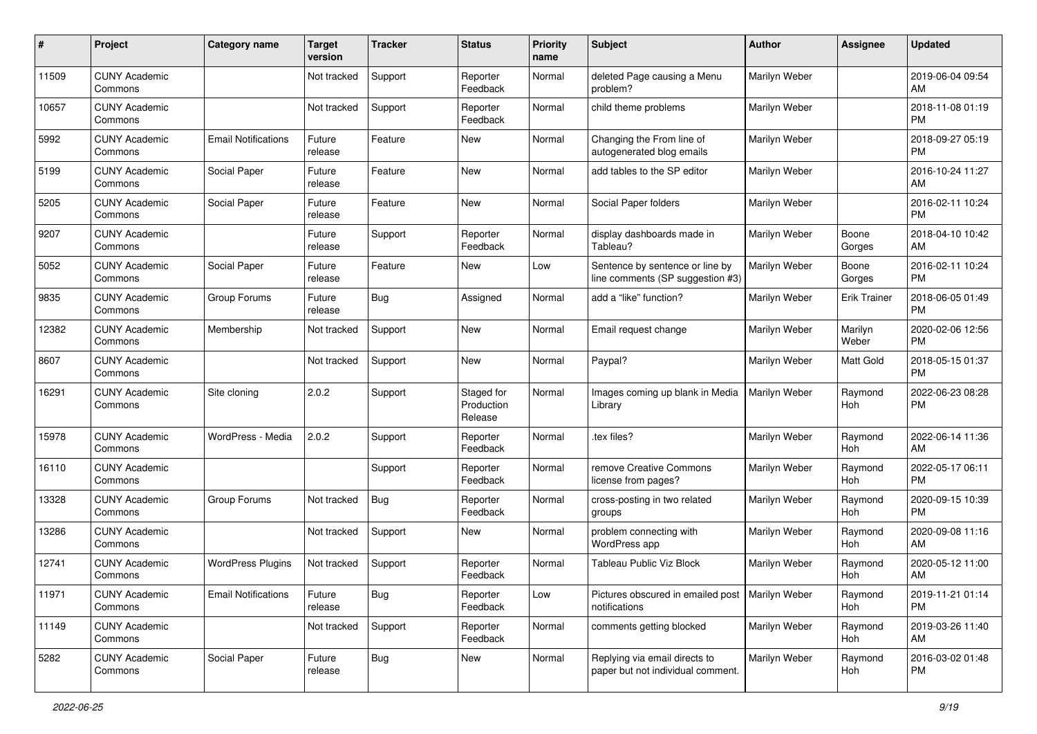| #     | Project                         | <b>Category name</b>       | <b>Target</b><br>version | <b>Tracker</b> | <b>Status</b>                       | <b>Priority</b><br>name | <b>Subject</b>                                                      | <b>Author</b> | <b>Assignee</b>     | <b>Updated</b>                |
|-------|---------------------------------|----------------------------|--------------------------|----------------|-------------------------------------|-------------------------|---------------------------------------------------------------------|---------------|---------------------|-------------------------------|
| 11509 | <b>CUNY Academic</b><br>Commons |                            | Not tracked              | Support        | Reporter<br>Feedback                | Normal                  | deleted Page causing a Menu<br>problem?                             | Marilyn Weber |                     | 2019-06-04 09:54<br>AM        |
| 10657 | <b>CUNY Academic</b><br>Commons |                            | Not tracked              | Support        | Reporter<br>Feedback                | Normal                  | child theme problems                                                | Marilyn Weber |                     | 2018-11-08 01:19<br><b>PM</b> |
| 5992  | <b>CUNY Academic</b><br>Commons | <b>Email Notifications</b> | Future<br>release        | Feature        | New                                 | Normal                  | Changing the From line of<br>autogenerated blog emails              | Marilyn Weber |                     | 2018-09-27 05:19<br><b>PM</b> |
| 5199  | <b>CUNY Academic</b><br>Commons | Social Paper               | Future<br>release        | Feature        | New                                 | Normal                  | add tables to the SP editor                                         | Marilyn Weber |                     | 2016-10-24 11:27<br>AM        |
| 5205  | <b>CUNY Academic</b><br>Commons | Social Paper               | Future<br>release        | Feature        | <b>New</b>                          | Normal                  | Social Paper folders                                                | Marilyn Weber |                     | 2016-02-11 10:24<br><b>PM</b> |
| 9207  | <b>CUNY Academic</b><br>Commons |                            | Future<br>release        | Support        | Reporter<br>Feedback                | Normal                  | display dashboards made in<br>Tableau?                              | Marilyn Weber | Boone<br>Gorges     | 2018-04-10 10:42<br>AM        |
| 5052  | <b>CUNY Academic</b><br>Commons | Social Paper               | Future<br>release        | Feature        | New                                 | Low                     | Sentence by sentence or line by<br>line comments (SP suggestion #3) | Marilyn Weber | Boone<br>Gorges     | 2016-02-11 10:24<br><b>PM</b> |
| 9835  | <b>CUNY Academic</b><br>Commons | Group Forums               | Future<br>release        | <b>Bug</b>     | Assigned                            | Normal                  | add a "like" function?                                              | Marilyn Weber | <b>Erik Trainer</b> | 2018-06-05 01:49<br><b>PM</b> |
| 12382 | <b>CUNY Academic</b><br>Commons | Membership                 | Not tracked              | Support        | New                                 | Normal                  | Email request change                                                | Marilyn Weber | Marilyn<br>Weber    | 2020-02-06 12:56<br><b>PM</b> |
| 8607  | <b>CUNY Academic</b><br>Commons |                            | Not tracked              | Support        | New                                 | Normal                  | Paypal?                                                             | Marilyn Weber | Matt Gold           | 2018-05-15 01:37<br><b>PM</b> |
| 16291 | <b>CUNY Academic</b><br>Commons | Site cloning               | 2.0.2                    | Support        | Staged for<br>Production<br>Release | Normal                  | Images coming up blank in Media<br>Library                          | Marilyn Weber | Raymond<br>Hoh      | 2022-06-23 08:28<br><b>PM</b> |
| 15978 | <b>CUNY Academic</b><br>Commons | WordPress - Media          | 2.0.2                    | Support        | Reporter<br>Feedback                | Normal                  | tex files?                                                          | Marilyn Weber | Raymond<br>Hoh      | 2022-06-14 11:36<br>AM        |
| 16110 | <b>CUNY Academic</b><br>Commons |                            |                          | Support        | Reporter<br>Feedback                | Normal                  | remove Creative Commons<br>license from pages?                      | Marilyn Weber | Raymond<br>Hoh      | 2022-05-17 06:11<br><b>PM</b> |
| 13328 | <b>CUNY Academic</b><br>Commons | Group Forums               | Not tracked              | <b>Bug</b>     | Reporter<br>Feedback                | Normal                  | cross-posting in two related<br>groups                              | Marilyn Weber | Raymond<br>Hoh      | 2020-09-15 10:39<br><b>PM</b> |
| 13286 | <b>CUNY Academic</b><br>Commons |                            | Not tracked              | Support        | New                                 | Normal                  | problem connecting with<br>WordPress app                            | Marilyn Weber | Raymond<br>Hoh      | 2020-09-08 11:16<br>AM        |
| 12741 | <b>CUNY Academic</b><br>Commons | <b>WordPress Plugins</b>   | Not tracked              | Support        | Reporter<br>Feedback                | Normal                  | Tableau Public Viz Block                                            | Marilyn Weber | Raymond<br>Hoh      | 2020-05-12 11:00<br>AM        |
| 11971 | <b>CUNY Academic</b><br>Commons | <b>Email Notifications</b> | Future<br>release        | <b>Bug</b>     | Reporter<br>Feedback                | Low                     | Pictures obscured in emailed post   Marilyn Weber<br>notifications  |               | Raymond<br>Hoh      | 2019-11-21 01:14<br>PM        |
| 11149 | <b>CUNY Academic</b><br>Commons |                            | Not tracked              | Support        | Reporter<br>Feedback                | Normal                  | comments getting blocked                                            | Marilyn Weber | Raymond<br>Hoh      | 2019-03-26 11:40<br>AM        |
| 5282  | <b>CUNY Academic</b><br>Commons | Social Paper               | Future<br>release        | <b>Bug</b>     | New                                 | Normal                  | Replying via email directs to<br>paper but not individual comment.  | Marilyn Weber | Raymond<br>Hoh      | 2016-03-02 01:48<br>PM        |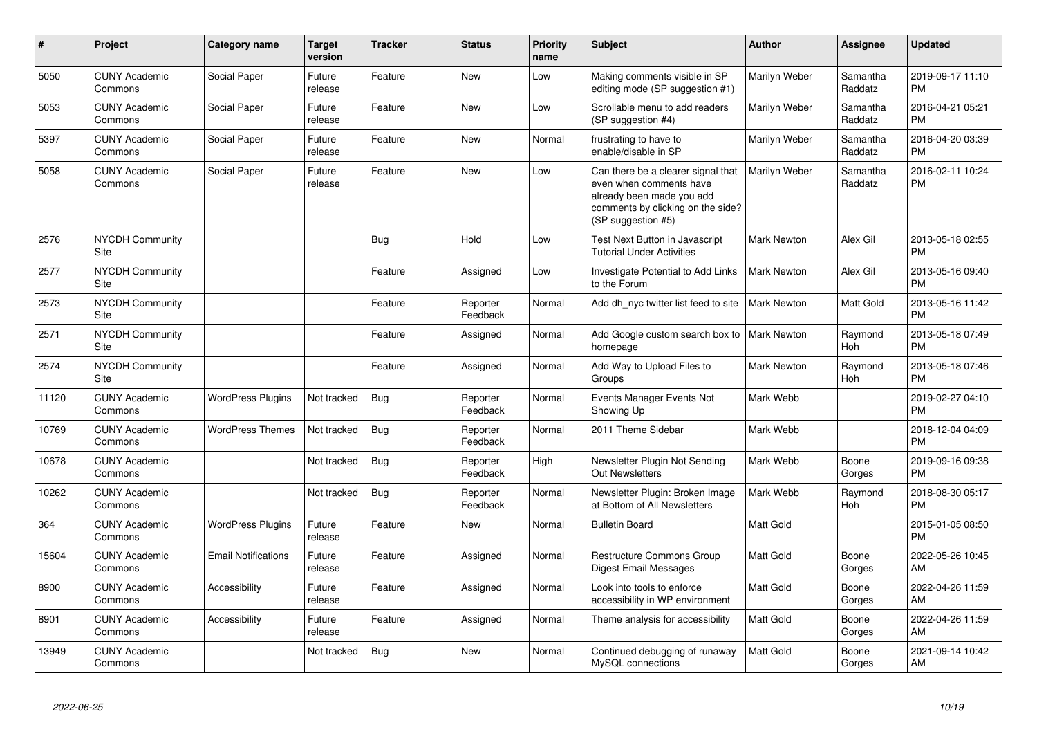| #     | <b>Project</b>                        | <b>Category name</b>       | <b>Target</b><br>version | <b>Tracker</b> | <b>Status</b>        | <b>Priority</b><br>name | Subject                                                                                                                                               | <b>Author</b>      | Assignee              | <b>Updated</b>                |
|-------|---------------------------------------|----------------------------|--------------------------|----------------|----------------------|-------------------------|-------------------------------------------------------------------------------------------------------------------------------------------------------|--------------------|-----------------------|-------------------------------|
| 5050  | <b>CUNY Academic</b><br>Commons       | Social Paper               | Future<br>release        | Feature        | <b>New</b>           | Low                     | Making comments visible in SP<br>editing mode (SP suggestion #1)                                                                                      | Marilyn Weber      | Samantha<br>Raddatz   | 2019-09-17 11:10<br><b>PM</b> |
| 5053  | <b>CUNY Academic</b><br>Commons       | Social Paper               | Future<br>release        | Feature        | <b>New</b>           | Low                     | Scrollable menu to add readers<br>(SP suggestion #4)                                                                                                  | Marilyn Weber      | Samantha<br>Raddatz   | 2016-04-21 05:21<br><b>PM</b> |
| 5397  | <b>CUNY Academic</b><br>Commons       | Social Paper               | Future<br>release        | Feature        | <b>New</b>           | Normal                  | frustrating to have to<br>enable/disable in SP                                                                                                        | Marilyn Weber      | Samantha<br>Raddatz   | 2016-04-20 03:39<br><b>PM</b> |
| 5058  | <b>CUNY Academic</b><br>Commons       | Social Paper               | Future<br>release        | Feature        | <b>New</b>           | Low                     | Can there be a clearer signal that<br>even when comments have<br>already been made you add<br>comments by clicking on the side?<br>(SP suggestion #5) | Marilyn Weber      | Samantha<br>Raddatz   | 2016-02-11 10:24<br><b>PM</b> |
| 2576  | <b>NYCDH Community</b><br><b>Site</b> |                            |                          | Bug            | Hold                 | Low                     | Test Next Button in Javascript<br><b>Tutorial Under Activities</b>                                                                                    | <b>Mark Newton</b> | Alex Gil              | 2013-05-18 02:55<br><b>PM</b> |
| 2577  | <b>NYCDH Community</b><br>Site        |                            |                          | Feature        | Assigned             | Low                     | <b>Investigate Potential to Add Links</b><br>to the Forum                                                                                             | <b>Mark Newton</b> | Alex Gil              | 2013-05-16 09:40<br><b>PM</b> |
| 2573  | <b>NYCDH Community</b><br>Site        |                            |                          | Feature        | Reporter<br>Feedback | Normal                  | Add dh nyc twitter list feed to site                                                                                                                  | <b>Mark Newton</b> | Matt Gold             | 2013-05-16 11:42<br><b>PM</b> |
| 2571  | <b>NYCDH Community</b><br>Site        |                            |                          | Feature        | Assigned             | Normal                  | Add Google custom search box to<br>homepage                                                                                                           | <b>Mark Newton</b> | Raymond<br>Hoh        | 2013-05-18 07:49<br>PМ        |
| 2574  | <b>NYCDH Community</b><br>Site        |                            |                          | Feature        | Assigned             | Normal                  | Add Way to Upload Files to<br>Groups                                                                                                                  | <b>Mark Newton</b> | Raymond<br><b>Hoh</b> | 2013-05-18 07:46<br><b>PM</b> |
| 11120 | <b>CUNY Academic</b><br>Commons       | <b>WordPress Plugins</b>   | Not tracked              | Bug            | Reporter<br>Feedback | Normal                  | Events Manager Events Not<br>Showing Up                                                                                                               | Mark Webb          |                       | 2019-02-27 04:10<br><b>PM</b> |
| 10769 | <b>CUNY Academic</b><br>Commons       | <b>WordPress Themes</b>    | Not tracked              | Bug            | Reporter<br>Feedback | Normal                  | 2011 Theme Sidebar                                                                                                                                    | Mark Webb          |                       | 2018-12-04 04:09<br><b>PM</b> |
| 10678 | <b>CUNY Academic</b><br>Commons       |                            | Not tracked              | <b>Bug</b>     | Reporter<br>Feedback | High                    | Newsletter Plugin Not Sending<br><b>Out Newsletters</b>                                                                                               | Mark Webb          | Boone<br>Gorges       | 2019-09-16 09:38<br><b>PM</b> |
| 10262 | <b>CUNY Academic</b><br>Commons       |                            | Not tracked              | Bug            | Reporter<br>Feedback | Normal                  | Newsletter Plugin: Broken Image<br>at Bottom of All Newsletters                                                                                       | Mark Webb          | Raymond<br><b>Hoh</b> | 2018-08-30 05:17<br><b>PM</b> |
| 364   | <b>CUNY Academic</b><br>Commons       | <b>WordPress Plugins</b>   | Future<br>release        | Feature        | <b>New</b>           | Normal                  | <b>Bulletin Board</b>                                                                                                                                 | Matt Gold          |                       | 2015-01-05 08:50<br>PМ        |
| 15604 | <b>CUNY Academic</b><br>Commons       | <b>Email Notifications</b> | Future<br>release        | Feature        | Assigned             | Normal                  | Restructure Commons Group<br>Digest Email Messages                                                                                                    | Matt Gold          | Boone<br>Gorges       | 2022-05-26 10:45<br>AM        |
| 8900  | <b>CUNY Academic</b><br>Commons       | Accessibility              | Future<br>release        | Feature        | Assigned             | Normal                  | Look into tools to enforce<br>accessibility in WP environment                                                                                         | Matt Gold          | Boone<br>Gorges       | 2022-04-26 11:59<br>AM        |
| 8901  | <b>CUNY Academic</b><br>Commons       | Accessibility              | Future<br>release        | Feature        | Assigned             | Normal                  | Theme analysis for accessibility                                                                                                                      | Matt Gold          | Boone<br>Gorges       | 2022-04-26 11:59<br>AM        |
| 13949 | <b>CUNY Academic</b><br>Commons       |                            | Not tracked              | Bug            | <b>New</b>           | Normal                  | Continued debugging of runaway<br>MySQL connections                                                                                                   | Matt Gold          | Boone<br>Gorges       | 2021-09-14 10:42<br>AM        |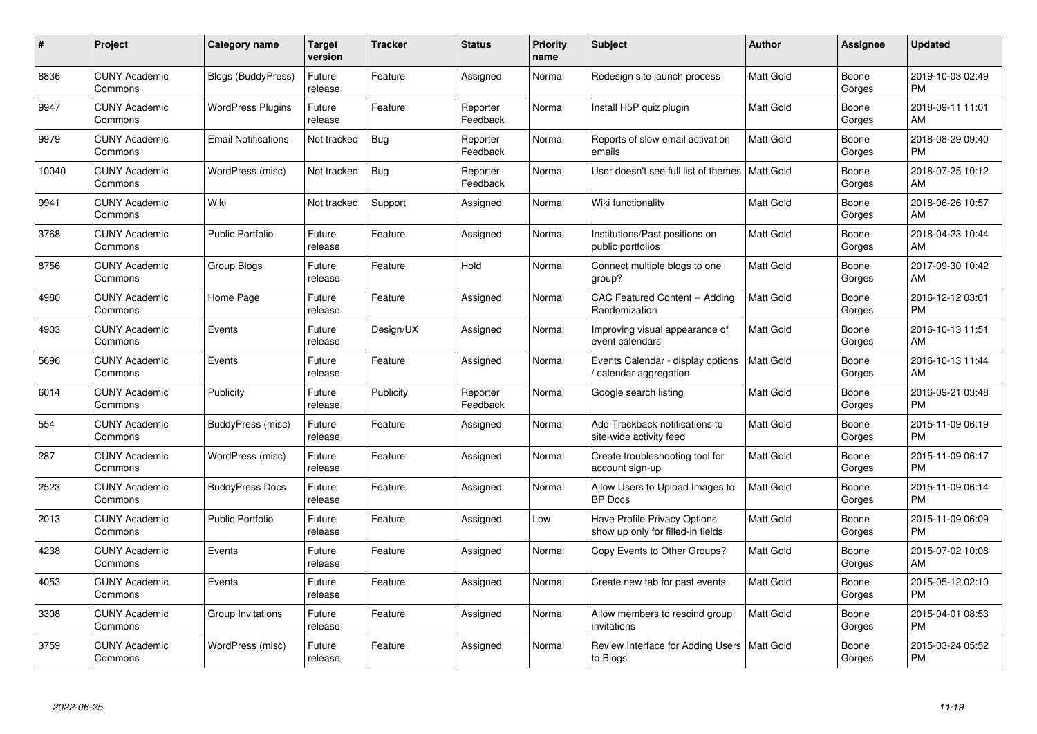| #     | Project                         | <b>Category name</b>       | Target<br>version | <b>Tracker</b> | <b>Status</b>        | <b>Priority</b><br>name | <b>Subject</b>                                                    | Author           | <b>Assignee</b> | <b>Updated</b>                |
|-------|---------------------------------|----------------------------|-------------------|----------------|----------------------|-------------------------|-------------------------------------------------------------------|------------------|-----------------|-------------------------------|
| 8836  | <b>CUNY Academic</b><br>Commons | <b>Blogs (BuddyPress)</b>  | Future<br>release | Feature        | Assigned             | Normal                  | Redesign site launch process                                      | <b>Matt Gold</b> | Boone<br>Gorges | 2019-10-03 02:49<br><b>PM</b> |
| 9947  | <b>CUNY Academic</b><br>Commons | <b>WordPress Plugins</b>   | Future<br>release | Feature        | Reporter<br>Feedback | Normal                  | Install H5P quiz plugin                                           | <b>Matt Gold</b> | Boone<br>Gorges | 2018-09-11 11:01<br>AM        |
| 9979  | <b>CUNY Academic</b><br>Commons | <b>Email Notifications</b> | Not tracked       | Bug            | Reporter<br>Feedback | Normal                  | Reports of slow email activation<br>emails                        | <b>Matt Gold</b> | Boone<br>Gorges | 2018-08-29 09:40<br><b>PM</b> |
| 10040 | <b>CUNY Academic</b><br>Commons | WordPress (misc)           | Not tracked       | Bug            | Reporter<br>Feedback | Normal                  | User doesn't see full list of themes   Matt Gold                  |                  | Boone<br>Gorges | 2018-07-25 10:12<br>AM        |
| 9941  | <b>CUNY Academic</b><br>Commons | Wiki                       | Not tracked       | Support        | Assigned             | Normal                  | Wiki functionality                                                | Matt Gold        | Boone<br>Gorges | 2018-06-26 10:57<br>AM        |
| 3768  | <b>CUNY Academic</b><br>Commons | <b>Public Portfolio</b>    | Future<br>release | Feature        | Assigned             | Normal                  | Institutions/Past positions on<br>public portfolios               | <b>Matt Gold</b> | Boone<br>Gorges | 2018-04-23 10:44<br>AM        |
| 8756  | <b>CUNY Academic</b><br>Commons | Group Blogs                | Future<br>release | Feature        | Hold                 | Normal                  | Connect multiple blogs to one<br>group?                           | Matt Gold        | Boone<br>Gorges | 2017-09-30 10:42<br>AM        |
| 4980  | <b>CUNY Academic</b><br>Commons | Home Page                  | Future<br>release | Feature        | Assigned             | Normal                  | <b>CAC Featured Content -- Adding</b><br>Randomization            | Matt Gold        | Boone<br>Gorges | 2016-12-12 03:01<br><b>PM</b> |
| 4903  | <b>CUNY Academic</b><br>Commons | Events                     | Future<br>release | Design/UX      | Assigned             | Normal                  | Improving visual appearance of<br>event calendars                 | Matt Gold        | Boone<br>Gorges | 2016-10-13 11:51<br>AM        |
| 5696  | <b>CUNY Academic</b><br>Commons | Events                     | Future<br>release | Feature        | Assigned             | Normal                  | Events Calendar - display options<br>calendar aggregation         | <b>Matt Gold</b> | Boone<br>Gorges | 2016-10-13 11:44<br>AM        |
| 6014  | <b>CUNY Academic</b><br>Commons | Publicity                  | Future<br>release | Publicity      | Reporter<br>Feedback | Normal                  | Google search listing                                             | Matt Gold        | Boone<br>Gorges | 2016-09-21 03:48<br><b>PM</b> |
| 554   | <b>CUNY Academic</b><br>Commons | BuddyPress (misc)          | Future<br>release | Feature        | Assigned             | Normal                  | Add Trackback notifications to<br>site-wide activity feed         | <b>Matt Gold</b> | Boone<br>Gorges | 2015-11-09 06:19<br><b>PM</b> |
| 287   | <b>CUNY Academic</b><br>Commons | WordPress (misc)           | Future<br>release | Feature        | Assigned             | Normal                  | Create troubleshooting tool for<br>account sign-up                | Matt Gold        | Boone<br>Gorges | 2015-11-09 06:17<br><b>PM</b> |
| 2523  | <b>CUNY Academic</b><br>Commons | <b>BuddyPress Docs</b>     | Future<br>release | Feature        | Assigned             | Normal                  | Allow Users to Upload Images to<br><b>BP</b> Docs                 | <b>Matt Gold</b> | Boone<br>Gorges | 2015-11-09 06:14<br><b>PM</b> |
| 2013  | <b>CUNY Academic</b><br>Commons | <b>Public Portfolio</b>    | Future<br>release | Feature        | Assigned             | Low                     | Have Profile Privacy Options<br>show up only for filled-in fields | <b>Matt Gold</b> | Boone<br>Gorges | 2015-11-09 06:09<br><b>PM</b> |
| 4238  | <b>CUNY Academic</b><br>Commons | Events                     | Future<br>release | Feature        | Assigned             | Normal                  | Copy Events to Other Groups?                                      | <b>Matt Gold</b> | Boone<br>Gorges | 2015-07-02 10:08<br>AM        |
| 4053  | <b>CUNY Academic</b><br>Commons | Events                     | Future<br>release | Feature        | Assigned             | Normal                  | Create new tab for past events                                    | <b>Matt Gold</b> | Boone<br>Gorges | 2015-05-12 02:10<br><b>PM</b> |
| 3308  | <b>CUNY Academic</b><br>Commons | Group Invitations          | Future<br>release | Feature        | Assigned             | Normal                  | Allow members to rescind group<br>invitations                     | Matt Gold        | Boone<br>Gorges | 2015-04-01 08:53<br><b>PM</b> |
| 3759  | <b>CUNY Academic</b><br>Commons | WordPress (misc)           | Future<br>release | Feature        | Assigned             | Normal                  | Review Interface for Adding Users<br>to Blogs                     | <b>Matt Gold</b> | Boone<br>Gorges | 2015-03-24 05:52<br><b>PM</b> |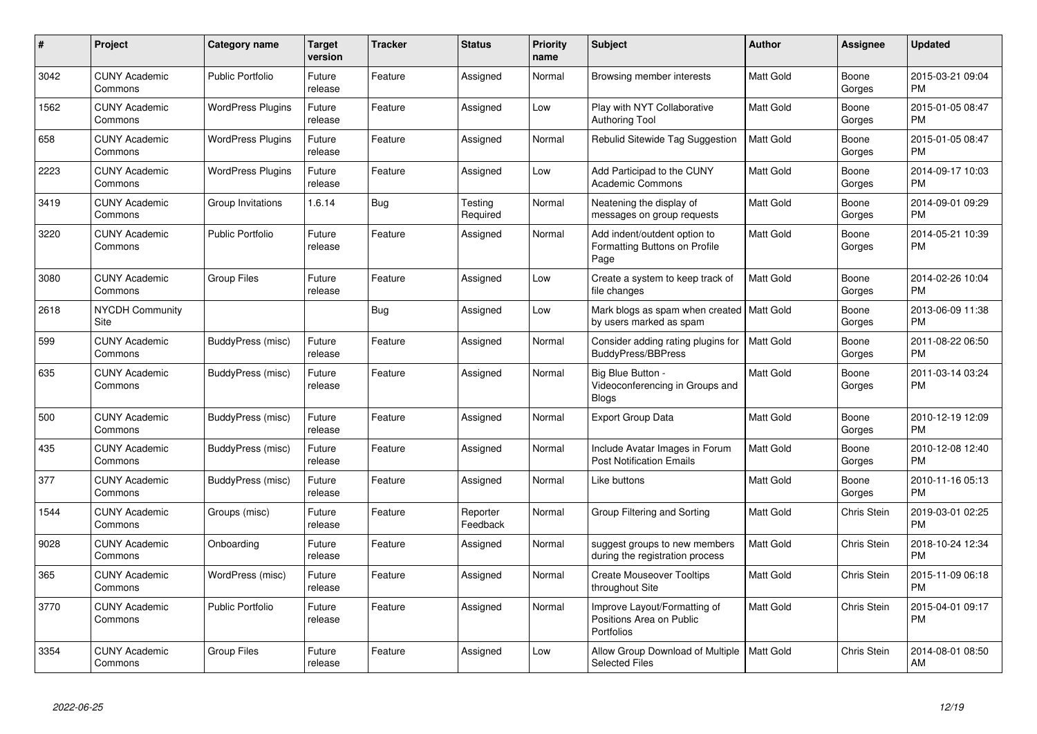| $\pmb{\#}$ | Project                         | Category name            | <b>Target</b><br>version | <b>Tracker</b> | <b>Status</b>        | <b>Priority</b><br>name | <b>Subject</b>                                                         | Author           | <b>Assignee</b> | <b>Updated</b>                |
|------------|---------------------------------|--------------------------|--------------------------|----------------|----------------------|-------------------------|------------------------------------------------------------------------|------------------|-----------------|-------------------------------|
| 3042       | <b>CUNY Academic</b><br>Commons | <b>Public Portfolio</b>  | Future<br>release        | Feature        | Assigned             | Normal                  | Browsing member interests                                              | <b>Matt Gold</b> | Boone<br>Gorges | 2015-03-21 09:04<br><b>PM</b> |
| 1562       | <b>CUNY Academic</b><br>Commons | <b>WordPress Plugins</b> | Future<br>release        | Feature        | Assigned             | Low                     | Play with NYT Collaborative<br><b>Authoring Tool</b>                   | Matt Gold        | Boone<br>Gorges | 2015-01-05 08:47<br><b>PM</b> |
| 658        | <b>CUNY Academic</b><br>Commons | <b>WordPress Plugins</b> | Future<br>release        | Feature        | Assigned             | Normal                  | Rebulid Sitewide Tag Suggestion                                        | <b>Matt Gold</b> | Boone<br>Gorges | 2015-01-05 08:47<br><b>PM</b> |
| 2223       | <b>CUNY Academic</b><br>Commons | <b>WordPress Plugins</b> | Future<br>release        | Feature        | Assigned             | Low                     | Add Participad to the CUNY<br><b>Academic Commons</b>                  | Matt Gold        | Boone<br>Gorges | 2014-09-17 10:03<br><b>PM</b> |
| 3419       | <b>CUNY Academic</b><br>Commons | Group Invitations        | 1.6.14                   | <b>Bug</b>     | Testing<br>Required  | Normal                  | Neatening the display of<br>messages on group requests                 | Matt Gold        | Boone<br>Gorges | 2014-09-01 09:29<br><b>PM</b> |
| 3220       | <b>CUNY Academic</b><br>Commons | <b>Public Portfolio</b>  | Future<br>release        | Feature        | Assigned             | Normal                  | Add indent/outdent option to<br>Formatting Buttons on Profile<br>Page  | <b>Matt Gold</b> | Boone<br>Gorges | 2014-05-21 10:39<br><b>PM</b> |
| 3080       | <b>CUNY Academic</b><br>Commons | <b>Group Files</b>       | Future<br>release        | Feature        | Assigned             | Low                     | Create a system to keep track of<br>file changes                       | <b>Matt Gold</b> | Boone<br>Gorges | 2014-02-26 10:04<br><b>PM</b> |
| 2618       | <b>NYCDH Community</b><br>Site  |                          |                          | <b>Bug</b>     | Assigned             | Low                     | Mark blogs as spam when created   Matt Gold<br>by users marked as spam |                  | Boone<br>Gorges | 2013-06-09 11:38<br><b>PM</b> |
| 599        | <b>CUNY Academic</b><br>Commons | BuddyPress (misc)        | Future<br>release        | Feature        | Assigned             | Normal                  | Consider adding rating plugins for<br>BuddyPress/BBPress               | <b>Matt Gold</b> | Boone<br>Gorges | 2011-08-22 06:50<br><b>PM</b> |
| 635        | <b>CUNY Academic</b><br>Commons | BuddyPress (misc)        | Future<br>release        | Feature        | Assigned             | Normal                  | Big Blue Button -<br>Videoconferencing in Groups and<br><b>Blogs</b>   | Matt Gold        | Boone<br>Gorges | 2011-03-14 03:24<br><b>PM</b> |
| 500        | <b>CUNY Academic</b><br>Commons | <b>BuddyPress (misc)</b> | Future<br>release        | Feature        | Assigned             | Normal                  | <b>Export Group Data</b>                                               | <b>Matt Gold</b> | Boone<br>Gorges | 2010-12-19 12:09<br><b>PM</b> |
| 435        | <b>CUNY Academic</b><br>Commons | BuddyPress (misc)        | Future<br>release        | Feature        | Assigned             | Normal                  | Include Avatar Images in Forum<br><b>Post Notification Emails</b>      | Matt Gold        | Boone<br>Gorges | 2010-12-08 12:40<br><b>PM</b> |
| 377        | <b>CUNY Academic</b><br>Commons | BuddyPress (misc)        | Future<br>release        | Feature        | Assigned             | Normal                  | Like buttons                                                           | Matt Gold        | Boone<br>Gorges | 2010-11-16 05:13<br><b>PM</b> |
| 1544       | <b>CUNY Academic</b><br>Commons | Groups (misc)            | Future<br>release        | Feature        | Reporter<br>Feedback | Normal                  | Group Filtering and Sorting                                            | <b>Matt Gold</b> | Chris Stein     | 2019-03-01 02:25<br><b>PM</b> |
| 9028       | <b>CUNY Academic</b><br>Commons | Onboarding               | Future<br>release        | Feature        | Assigned             | Normal                  | suggest groups to new members<br>during the registration process       | <b>Matt Gold</b> | Chris Stein     | 2018-10-24 12:34<br><b>PM</b> |
| 365        | <b>CUNY Academic</b><br>Commons | WordPress (misc)         | Future<br>release        | Feature        | Assigned             | Normal                  | <b>Create Mouseover Tooltips</b><br>throughout Site                    | Matt Gold        | Chris Stein     | 2015-11-09 06:18<br>PM        |
| 3770       | <b>CUNY Academic</b><br>Commons | <b>Public Portfolio</b>  | Future<br>release        | Feature        | Assigned             | Normal                  | Improve Layout/Formatting of<br>Positions Area on Public<br>Portfolios | Matt Gold        | Chris Stein     | 2015-04-01 09:17<br><b>PM</b> |
| 3354       | <b>CUNY Academic</b><br>Commons | Group Files              | Future<br>release        | Feature        | Assigned             | Low                     | Allow Group Download of Multiple<br><b>Selected Files</b>              | Matt Gold        | Chris Stein     | 2014-08-01 08:50<br>AM        |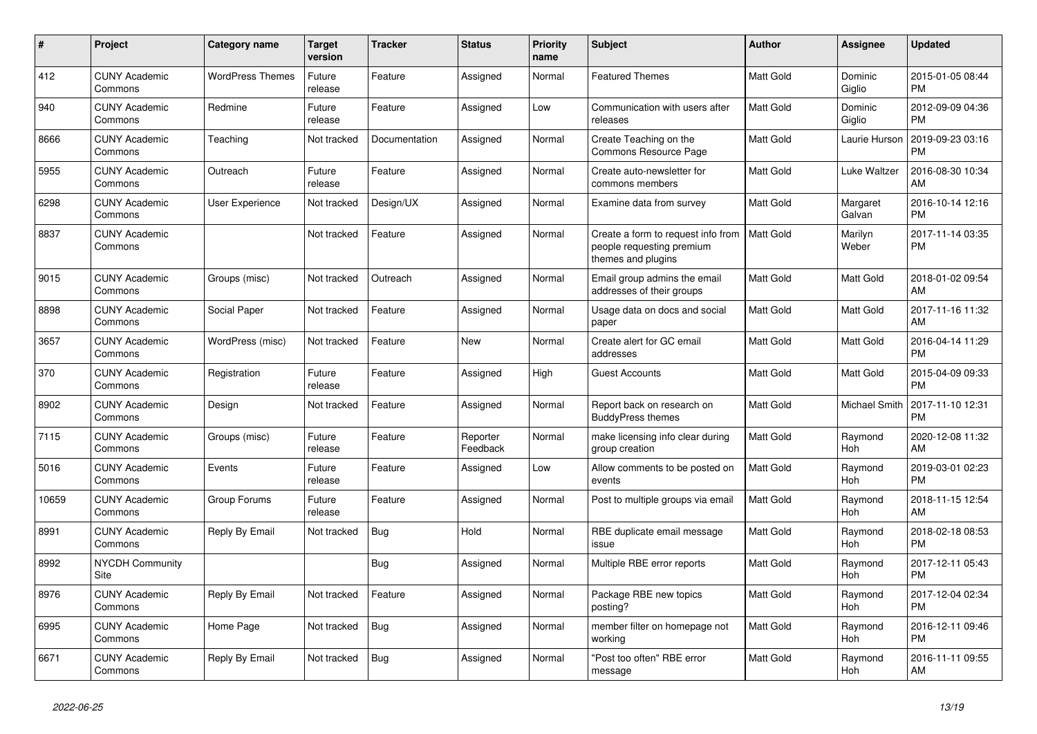| $\#$  | <b>Project</b>                  | Category name           | <b>Target</b><br>version | Tracker       | <b>Status</b>        | Priority<br>name | <b>Subject</b>                                                                        | <b>Author</b> | <b>Assignee</b>       | <b>Updated</b>                |
|-------|---------------------------------|-------------------------|--------------------------|---------------|----------------------|------------------|---------------------------------------------------------------------------------------|---------------|-----------------------|-------------------------------|
| 412   | <b>CUNY Academic</b><br>Commons | <b>WordPress Themes</b> | Future<br>release        | Feature       | Assigned             | Normal           | <b>Featured Themes</b>                                                                | Matt Gold     | Dominic<br>Giglio     | 2015-01-05 08:44<br><b>PM</b> |
| 940   | <b>CUNY Academic</b><br>Commons | Redmine                 | Future<br>release        | Feature       | Assigned             | Low              | Communication with users after<br>releases                                            | Matt Gold     | Dominic<br>Giglio     | 2012-09-09 04:36<br><b>PM</b> |
| 8666  | <b>CUNY Academic</b><br>Commons | Teaching                | Not tracked              | Documentation | Assigned             | Normal           | Create Teaching on the<br>Commons Resource Page                                       | Matt Gold     | Laurie Hurson         | 2019-09-23 03:16<br><b>PM</b> |
| 5955  | <b>CUNY Academic</b><br>Commons | Outreach                | Future<br>release        | Feature       | Assigned             | Normal           | Create auto-newsletter for<br>commons members                                         | Matt Gold     | Luke Waltzer          | 2016-08-30 10:34<br>AM        |
| 6298  | <b>CUNY Academic</b><br>Commons | User Experience         | Not tracked              | Design/UX     | Assigned             | Normal           | Examine data from survey                                                              | Matt Gold     | Margaret<br>Galvan    | 2016-10-14 12:16<br><b>PM</b> |
| 8837  | <b>CUNY Academic</b><br>Commons |                         | Not tracked              | Feature       | Assigned             | Normal           | Create a form to request info from<br>people requesting premium<br>themes and plugins | Matt Gold     | Marilyn<br>Weber      | 2017-11-14 03:35<br>PM        |
| 9015  | <b>CUNY Academic</b><br>Commons | Groups (misc)           | Not tracked              | Outreach      | Assigned             | Normal           | Email group admins the email<br>addresses of their groups                             | Matt Gold     | Matt Gold             | 2018-01-02 09:54<br>AM        |
| 8898  | <b>CUNY Academic</b><br>Commons | Social Paper            | Not tracked              | Feature       | Assigned             | Normal           | Usage data on docs and social<br>paper                                                | Matt Gold     | Matt Gold             | 2017-11-16 11:32<br>AM        |
| 3657  | <b>CUNY Academic</b><br>Commons | WordPress (misc)        | Not tracked              | Feature       | New                  | Normal           | Create alert for GC email<br>addresses                                                | Matt Gold     | Matt Gold             | 2016-04-14 11:29<br><b>PM</b> |
| 370   | <b>CUNY Academic</b><br>Commons | Registration            | Future<br>release        | Feature       | Assigned             | High             | <b>Guest Accounts</b>                                                                 | Matt Gold     | Matt Gold             | 2015-04-09 09:33<br><b>PM</b> |
| 8902  | <b>CUNY Academic</b><br>Commons | Design                  | Not tracked              | Feature       | Assigned             | Normal           | Report back on research on<br><b>BuddyPress themes</b>                                | Matt Gold     | Michael Smith         | 2017-11-10 12:31<br><b>PM</b> |
| 7115  | <b>CUNY Academic</b><br>Commons | Groups (misc)           | Future<br>release        | Feature       | Reporter<br>Feedback | Normal           | make licensing info clear during<br>group creation                                    | Matt Gold     | Raymond<br>Hoh        | 2020-12-08 11:32<br>AM        |
| 5016  | <b>CUNY Academic</b><br>Commons | Events                  | Future<br>release        | Feature       | Assigned             | Low              | Allow comments to be posted on<br>events                                              | Matt Gold     | Raymond<br>Hoh        | 2019-03-01 02:23<br><b>PM</b> |
| 10659 | <b>CUNY Academic</b><br>Commons | Group Forums            | Future<br>release        | Feature       | Assigned             | Normal           | Post to multiple groups via email                                                     | Matt Gold     | Raymond<br>Hoh        | 2018-11-15 12:54<br>AM        |
| 8991  | <b>CUNY Academic</b><br>Commons | Reply By Email          | Not tracked              | <b>Bug</b>    | Hold                 | Normal           | RBE duplicate email message<br>issue                                                  | Matt Gold     | Raymond<br><b>Hoh</b> | 2018-02-18 08:53<br><b>PM</b> |
| 8992  | <b>NYCDH Community</b><br>Site  |                         |                          | Bug           | Assigned             | Normal           | Multiple RBE error reports                                                            | Matt Gold     | Raymond<br>Hoh        | 2017-12-11 05:43<br><b>PM</b> |
| 8976  | <b>CUNY Academic</b><br>Commons | Reply By Email          | Not tracked              | Feature       | Assigned             | Normal           | Package RBE new topics<br>posting?                                                    | Matt Gold     | Raymond<br>Hoh        | 2017-12-04 02:34<br><b>PM</b> |
| 6995  | <b>CUNY Academic</b><br>Commons | Home Page               | Not tracked              | <b>Bug</b>    | Assigned             | Normal           | member filter on homepage not<br>workina                                              | Matt Gold     | Raymond<br>Hoh        | 2016-12-11 09:46<br><b>PM</b> |
| 6671  | <b>CUNY Academic</b><br>Commons | Reply By Email          | Not tracked              | Bug           | Assigned             | Normal           | "Post too often" RBE error<br>message                                                 | Matt Gold     | Raymond<br>Hoh        | 2016-11-11 09:55<br>AM        |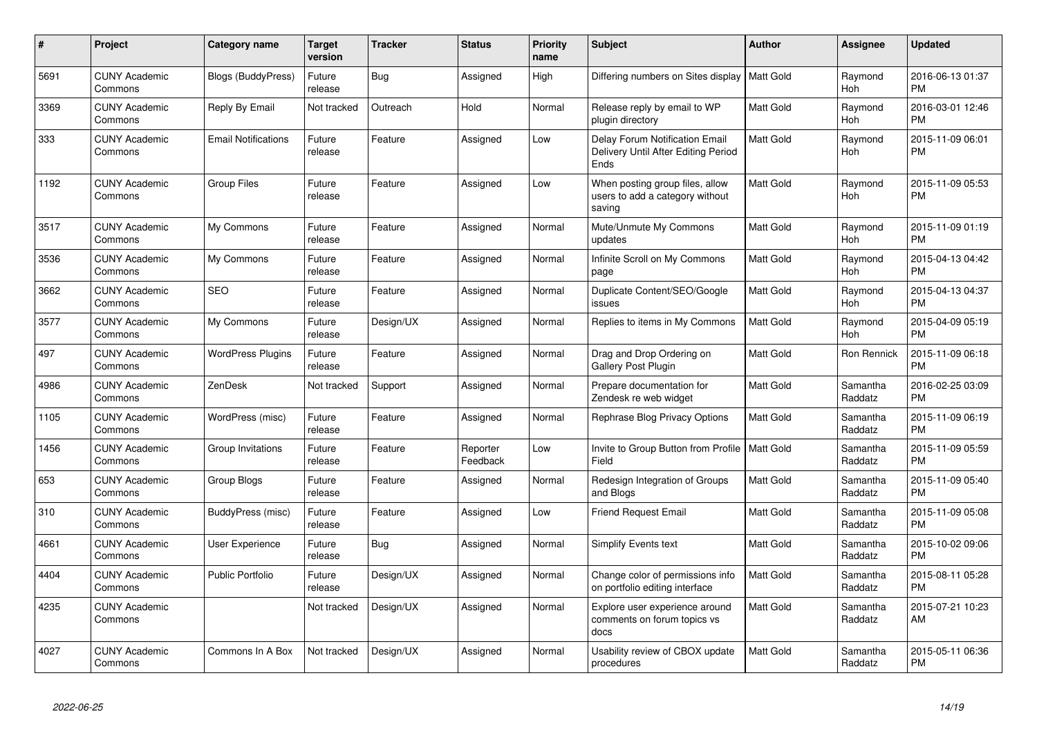| $\#$ | Project                         | <b>Category name</b>       | <b>Target</b><br>version | Tracker   | <b>Status</b>        | <b>Priority</b><br>name | <b>Subject</b>                                                                       | Author           | <b>Assignee</b>       | <b>Updated</b>                |
|------|---------------------------------|----------------------------|--------------------------|-----------|----------------------|-------------------------|--------------------------------------------------------------------------------------|------------------|-----------------------|-------------------------------|
| 5691 | <b>CUNY Academic</b><br>Commons | <b>Blogs (BuddyPress)</b>  | Future<br>release        | Bug       | Assigned             | High                    | Differing numbers on Sites display   Matt Gold                                       |                  | Raymond<br>Hoh        | 2016-06-13 01:37<br><b>PM</b> |
| 3369 | <b>CUNY Academic</b><br>Commons | Reply By Email             | Not tracked              | Outreach  | Hold                 | Normal                  | Release reply by email to WP<br>plugin directory                                     | Matt Gold        | Raymond<br>Hoh        | 2016-03-01 12:46<br><b>PM</b> |
| 333  | <b>CUNY Academic</b><br>Commons | <b>Email Notifications</b> | Future<br>release        | Feature   | Assigned             | Low                     | <b>Delay Forum Notification Email</b><br>Delivery Until After Editing Period<br>Ends | Matt Gold        | Raymond<br>Hoh        | 2015-11-09 06:01<br><b>PM</b> |
| 1192 | <b>CUNY Academic</b><br>Commons | <b>Group Files</b>         | Future<br>release        | Feature   | Assigned             | Low                     | When posting group files, allow<br>users to add a category without<br>saving         | Matt Gold        | Raymond<br>Hoh        | 2015-11-09 05:53<br><b>PM</b> |
| 3517 | <b>CUNY Academic</b><br>Commons | My Commons                 | Future<br>release        | Feature   | Assigned             | Normal                  | Mute/Unmute My Commons<br>updates                                                    | Matt Gold        | Raymond<br>Hoh        | 2015-11-09 01:19<br><b>PM</b> |
| 3536 | <b>CUNY Academic</b><br>Commons | My Commons                 | Future<br>release        | Feature   | Assigned             | Normal                  | Infinite Scroll on My Commons<br>page                                                | Matt Gold        | Raymond<br>Hoh        | 2015-04-13 04:42<br><b>PM</b> |
| 3662 | <b>CUNY Academic</b><br>Commons | <b>SEO</b>                 | Future<br>release        | Feature   | Assigned             | Normal                  | Duplicate Content/SEO/Google<br>issues                                               | Matt Gold        | Raymond<br><b>Hoh</b> | 2015-04-13 04:37<br><b>PM</b> |
| 3577 | <b>CUNY Academic</b><br>Commons | My Commons                 | Future<br>release        | Design/UX | Assigned             | Normal                  | Replies to items in My Commons                                                       | Matt Gold        | Raymond<br>Hoh        | 2015-04-09 05:19<br><b>PM</b> |
| 497  | <b>CUNY Academic</b><br>Commons | <b>WordPress Plugins</b>   | Future<br>release        | Feature   | Assigned             | Normal                  | Drag and Drop Ordering on<br><b>Gallery Post Plugin</b>                              | Matt Gold        | Ron Rennick           | 2015-11-09 06:18<br><b>PM</b> |
| 4986 | <b>CUNY Academic</b><br>Commons | ZenDesk                    | Not tracked              | Support   | Assigned             | Normal                  | Prepare documentation for<br>Zendesk re web widget                                   | Matt Gold        | Samantha<br>Raddatz   | 2016-02-25 03:09<br><b>PM</b> |
| 1105 | <b>CUNY Academic</b><br>Commons | WordPress (misc)           | Future<br>release        | Feature   | Assigned             | Normal                  | Rephrase Blog Privacy Options                                                        | Matt Gold        | Samantha<br>Raddatz   | 2015-11-09 06:19<br><b>PM</b> |
| 1456 | <b>CUNY Academic</b><br>Commons | Group Invitations          | Future<br>release        | Feature   | Reporter<br>Feedback | Low                     | Invite to Group Button from Profile  <br>Field                                       | <b>Matt Gold</b> | Samantha<br>Raddatz   | 2015-11-09 05:59<br>PM        |
| 653  | <b>CUNY Academic</b><br>Commons | Group Blogs                | Future<br>release        | Feature   | Assigned             | Normal                  | Redesign Integration of Groups<br>and Blogs                                          | Matt Gold        | Samantha<br>Raddatz   | 2015-11-09 05:40<br><b>PM</b> |
| 310  | <b>CUNY Academic</b><br>Commons | BuddyPress (misc)          | Future<br>release        | Feature   | Assigned             | Low                     | <b>Friend Request Email</b>                                                          | Matt Gold        | Samantha<br>Raddatz   | 2015-11-09 05:08<br><b>PM</b> |
| 4661 | <b>CUNY Academic</b><br>Commons | User Experience            | Future<br>release        | Bug       | Assigned             | Normal                  | Simplify Events text                                                                 | Matt Gold        | Samantha<br>Raddatz   | 2015-10-02 09:06<br><b>PM</b> |
| 4404 | <b>CUNY Academic</b><br>Commons | Public Portfolio           | Future<br>release        | Design/UX | Assigned             | Normal                  | Change color of permissions info<br>on portfolio editing interface                   | Matt Gold        | Samantha<br>Raddatz   | 2015-08-11 05:28<br><b>PM</b> |
| 4235 | <b>CUNY Academic</b><br>Commons |                            | Not tracked              | Design/UX | Assigned             | Normal                  | Explore user experience around<br>comments on forum topics vs<br>docs                | Matt Gold        | Samantha<br>Raddatz   | 2015-07-21 10:23<br>AM        |
| 4027 | <b>CUNY Academic</b><br>Commons | Commons In A Box           | Not tracked              | Design/UX | Assigned             | Normal                  | Usability review of CBOX update<br>procedures                                        | Matt Gold        | Samantha<br>Raddatz   | 2015-05-11 06:36<br><b>PM</b> |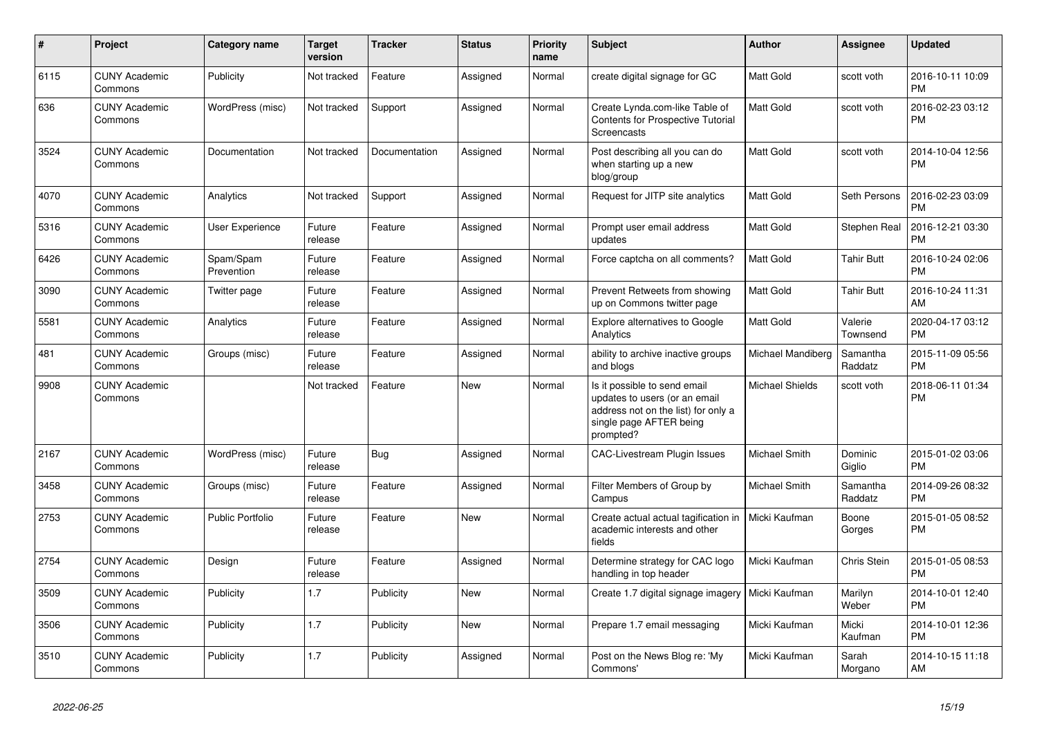| $\#$ | <b>Project</b>                  | Category name           | <b>Target</b><br>version | <b>Tracker</b> | <b>Status</b> | <b>Priority</b><br>name | <b>Subject</b>                                                                                                                               | <b>Author</b>          | Assignee            | <b>Updated</b>                |
|------|---------------------------------|-------------------------|--------------------------|----------------|---------------|-------------------------|----------------------------------------------------------------------------------------------------------------------------------------------|------------------------|---------------------|-------------------------------|
| 6115 | <b>CUNY Academic</b><br>Commons | Publicity               | Not tracked              | Feature        | Assigned      | Normal                  | create digital signage for GC                                                                                                                | <b>Matt Gold</b>       | scott voth          | 2016-10-11 10:09<br><b>PM</b> |
| 636  | <b>CUNY Academic</b><br>Commons | WordPress (misc)        | Not tracked              | Support        | Assigned      | Normal                  | Create Lynda.com-like Table of<br><b>Contents for Prospective Tutorial</b><br>Screencasts                                                    | <b>Matt Gold</b>       | scott voth          | 2016-02-23 03:12<br><b>PM</b> |
| 3524 | <b>CUNY Academic</b><br>Commons | Documentation           | Not tracked              | Documentation  | Assigned      | Normal                  | Post describing all you can do<br>when starting up a new<br>blog/group                                                                       | <b>Matt Gold</b>       | scott voth          | 2014-10-04 12:56<br><b>PM</b> |
| 4070 | <b>CUNY Academic</b><br>Commons | Analytics               | Not tracked              | Support        | Assigned      | Normal                  | Request for JITP site analytics                                                                                                              | <b>Matt Gold</b>       | Seth Persons        | 2016-02-23 03:09<br><b>PM</b> |
| 5316 | <b>CUNY Academic</b><br>Commons | User Experience         | Future<br>release        | Feature        | Assigned      | Normal                  | Prompt user email address<br>updates                                                                                                         | Matt Gold              | Stephen Real        | 2016-12-21 03:30<br><b>PM</b> |
| 6426 | <b>CUNY Academic</b><br>Commons | Spam/Spam<br>Prevention | Future<br>release        | Feature        | Assigned      | Normal                  | Force captcha on all comments?                                                                                                               | Matt Gold              | <b>Tahir Butt</b>   | 2016-10-24 02:06<br><b>PM</b> |
| 3090 | <b>CUNY Academic</b><br>Commons | Twitter page            | Future<br>release        | Feature        | Assigned      | Normal                  | Prevent Retweets from showing<br>up on Commons twitter page                                                                                  | <b>Matt Gold</b>       | <b>Tahir Butt</b>   | 2016-10-24 11:31<br>AM        |
| 5581 | <b>CUNY Academic</b><br>Commons | Analytics               | Future<br>release        | Feature        | Assigned      | Normal                  | Explore alternatives to Google<br>Analytics                                                                                                  | Matt Gold              | Valerie<br>Townsend | 2020-04-17 03:12<br><b>PM</b> |
| 481  | <b>CUNY Academic</b><br>Commons | Groups (misc)           | Future<br>release        | Feature        | Assigned      | Normal                  | ability to archive inactive groups<br>and blogs                                                                                              | Michael Mandiberg      | Samantha<br>Raddatz | 2015-11-09 05:56<br><b>PM</b> |
| 9908 | <b>CUNY Academic</b><br>Commons |                         | Not tracked              | Feature        | <b>New</b>    | Normal                  | Is it possible to send email<br>updates to users (or an email<br>address not on the list) for only a<br>single page AFTER being<br>prompted? | <b>Michael Shields</b> | scott voth          | 2018-06-11 01:34<br><b>PM</b> |
| 2167 | <b>CUNY Academic</b><br>Commons | WordPress (misc)        | Future<br>release        | <b>Bug</b>     | Assigned      | Normal                  | <b>CAC-Livestream Plugin Issues</b>                                                                                                          | <b>Michael Smith</b>   | Dominic<br>Giglio   | 2015-01-02 03:06<br><b>PM</b> |
| 3458 | <b>CUNY Academic</b><br>Commons | Groups (misc)           | Future<br>release        | Feature        | Assigned      | Normal                  | Filter Members of Group by<br>Campus                                                                                                         | Michael Smith          | Samantha<br>Raddatz | 2014-09-26 08:32<br><b>PM</b> |
| 2753 | <b>CUNY Academic</b><br>Commons | <b>Public Portfolio</b> | Future<br>release        | Feature        | <b>New</b>    | Normal                  | Create actual actual tagification in<br>academic interests and other<br>fields                                                               | Micki Kaufman          | Boone<br>Gorges     | 2015-01-05 08:52<br><b>PM</b> |
| 2754 | <b>CUNY Academic</b><br>Commons | Design                  | Future<br>release        | Feature        | Assigned      | Normal                  | Determine strategy for CAC logo<br>handling in top header                                                                                    | Micki Kaufman          | Chris Stein         | 2015-01-05 08:53<br><b>PM</b> |
| 3509 | <b>CUNY Academic</b><br>Commons | Publicity               | 1.7                      | Publicity      | <b>New</b>    | Normal                  | Create 1.7 digital signage imagery                                                                                                           | Micki Kaufman          | Marilyn<br>Weber    | 2014-10-01 12:40<br><b>PM</b> |
| 3506 | <b>CUNY Academic</b><br>Commons | Publicity               | 1.7                      | Publicity      | <b>New</b>    | Normal                  | Prepare 1.7 email messaging                                                                                                                  | Micki Kaufman          | Micki<br>Kaufman    | 2014-10-01 12:36<br><b>PM</b> |
| 3510 | <b>CUNY Academic</b><br>Commons | Publicity               | 1.7                      | Publicity      | Assigned      | Normal                  | Post on the News Blog re: 'My<br>Commons'                                                                                                    | Micki Kaufman          | Sarah<br>Morgano    | 2014-10-15 11:18<br>AM        |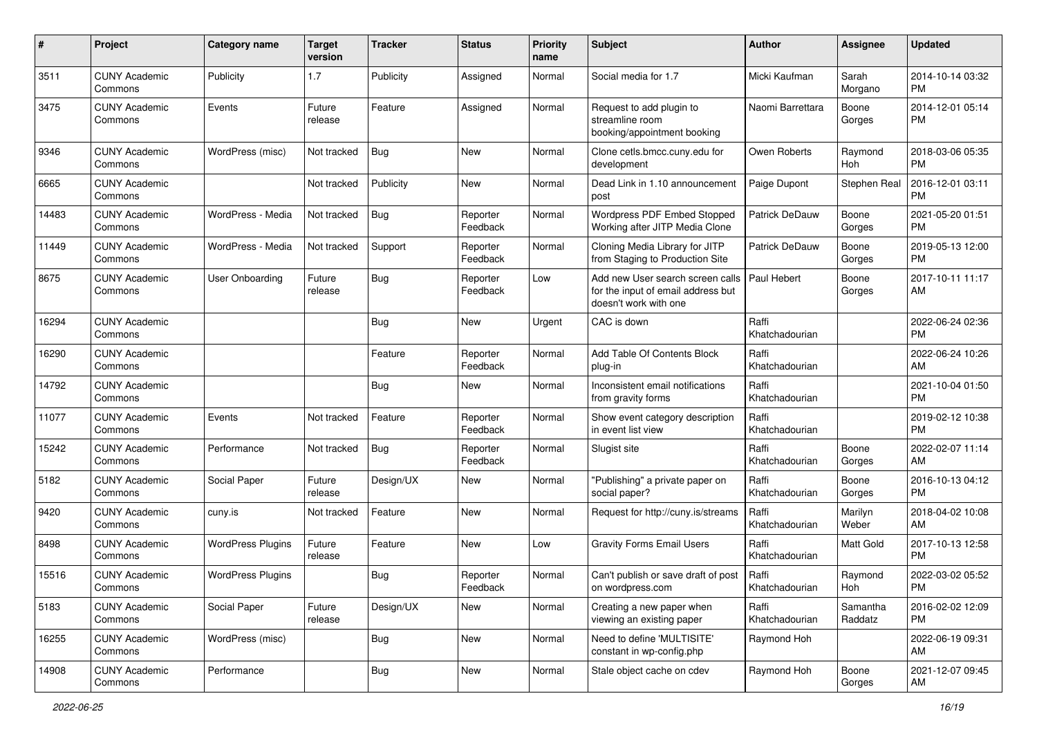| #     | Project                         | <b>Category name</b>     | <b>Target</b><br>version | <b>Tracker</b> | <b>Status</b>        | <b>Priority</b><br>name | Subject                                                                                         | Author                  | Assignee            | <b>Updated</b>                |
|-------|---------------------------------|--------------------------|--------------------------|----------------|----------------------|-------------------------|-------------------------------------------------------------------------------------------------|-------------------------|---------------------|-------------------------------|
| 3511  | <b>CUNY Academic</b><br>Commons | Publicity                | 1.7                      | Publicity      | Assigned             | Normal                  | Social media for 1.7                                                                            | Micki Kaufman           | Sarah<br>Morgano    | 2014-10-14 03:32<br>PM        |
| 3475  | <b>CUNY Academic</b><br>Commons | Events                   | Future<br>release        | Feature        | Assigned             | Normal                  | Request to add plugin to<br>streamline room<br>booking/appointment booking                      | Naomi Barrettara        | Boone<br>Gorges     | 2014-12-01 05:14<br>PM        |
| 9346  | <b>CUNY Academic</b><br>Commons | WordPress (misc)         | Not tracked              | Bug            | New                  | Normal                  | Clone cetls.bmcc.cuny.edu for<br>development                                                    | Owen Roberts            | Raymond<br>Hoh      | 2018-03-06 05:35<br>PM        |
| 6665  | <b>CUNY Academic</b><br>Commons |                          | Not tracked              | Publicity      | New                  | Normal                  | Dead Link in 1.10 announcement<br>post                                                          | Paige Dupont            | Stephen Real        | 2016-12-01 03:11<br>PM        |
| 14483 | <b>CUNY Academic</b><br>Commons | WordPress - Media        | Not tracked              | Bug            | Reporter<br>Feedback | Normal                  | Wordpress PDF Embed Stopped<br>Working after JITP Media Clone                                   | Patrick DeDauw          | Boone<br>Gorges     | 2021-05-20 01:51<br>PM        |
| 11449 | <b>CUNY Academic</b><br>Commons | WordPress - Media        | Not tracked              | Support        | Reporter<br>Feedback | Normal                  | Cloning Media Library for JITP<br>from Staging to Production Site                               | <b>Patrick DeDauw</b>   | Boone<br>Gorges     | 2019-05-13 12:00<br><b>PM</b> |
| 8675  | <b>CUNY Academic</b><br>Commons | User Onboarding          | Future<br>release        | Bug            | Reporter<br>Feedback | Low                     | Add new User search screen calls<br>for the input of email address but<br>doesn't work with one | <b>Paul Hebert</b>      | Boone<br>Gorges     | 2017-10-11 11:17<br>AM        |
| 16294 | <b>CUNY Academic</b><br>Commons |                          |                          | Bug            | New                  | Urgent                  | CAC is down                                                                                     | Raffi<br>Khatchadourian |                     | 2022-06-24 02:36<br><b>PM</b> |
| 16290 | <b>CUNY Academic</b><br>Commons |                          |                          | Feature        | Reporter<br>Feedback | Normal                  | Add Table Of Contents Block<br>plug-in                                                          | Raffi<br>Khatchadourian |                     | 2022-06-24 10:26<br>AM        |
| 14792 | <b>CUNY Academic</b><br>Commons |                          |                          | Bug            | New                  | Normal                  | Inconsistent email notifications<br>from gravity forms                                          | Raffi<br>Khatchadourian |                     | 2021-10-04 01:50<br>PM        |
| 11077 | <b>CUNY Academic</b><br>Commons | Events                   | Not tracked              | Feature        | Reporter<br>Feedback | Normal                  | Show event category description<br>in event list view                                           | Raffi<br>Khatchadourian |                     | 2019-02-12 10:38<br><b>PM</b> |
| 15242 | <b>CUNY Academic</b><br>Commons | Performance              | Not tracked              | Bug            | Reporter<br>Feedback | Normal                  | Slugist site                                                                                    | Raffi<br>Khatchadourian | Boone<br>Gorges     | 2022-02-07 11:14<br>AM        |
| 5182  | <b>CUNY Academic</b><br>Commons | Social Paper             | Future<br>release        | Design/UX      | New                  | Normal                  | "Publishing" a private paper on<br>social paper?                                                | Raffi<br>Khatchadourian | Boone<br>Gorges     | 2016-10-13 04:12<br><b>PM</b> |
| 9420  | <b>CUNY Academic</b><br>Commons | cuny.is                  | Not tracked              | Feature        | <b>New</b>           | Normal                  | Request for http://cuny.is/streams                                                              | Raffi<br>Khatchadourian | Marilyn<br>Weber    | 2018-04-02 10:08<br>AM        |
| 8498  | <b>CUNY Academic</b><br>Commons | <b>WordPress Plugins</b> | Future<br>release        | Feature        | New                  | Low                     | <b>Gravity Forms Email Users</b>                                                                | Raffi<br>Khatchadourian | Matt Gold           | 2017-10-13 12:58<br><b>PM</b> |
| 15516 | <b>CUNY Academic</b><br>Commons | <b>WordPress Plugins</b> |                          | Bug            | Reporter<br>Feedback | Normal                  | Can't publish or save draft of post<br>on wordpress.com                                         | Raffi<br>Khatchadourian | Raymond<br>Hoh      | 2022-03-02 05:52<br>PM        |
| 5183  | <b>CUNY Academic</b><br>Commons | Social Paper             | Future<br>release        | Design/UX      | New                  | Normal                  | Creating a new paper when<br>viewing an existing paper                                          | Raffi<br>Khatchadourian | Samantha<br>Raddatz | 2016-02-02 12:09<br>PM        |
| 16255 | <b>CUNY Academic</b><br>Commons | WordPress (misc)         |                          | <b>Bug</b>     | New                  | Normal                  | Need to define 'MULTISITE'<br>constant in wp-config.php                                         | Raymond Hoh             |                     | 2022-06-19 09:31<br>AM        |
| 14908 | <b>CUNY Academic</b><br>Commons | Performance              |                          | <b>Bug</b>     | New                  | Normal                  | Stale object cache on cdev                                                                      | Raymond Hoh             | Boone<br>Gorges     | 2021-12-07 09:45<br>AM        |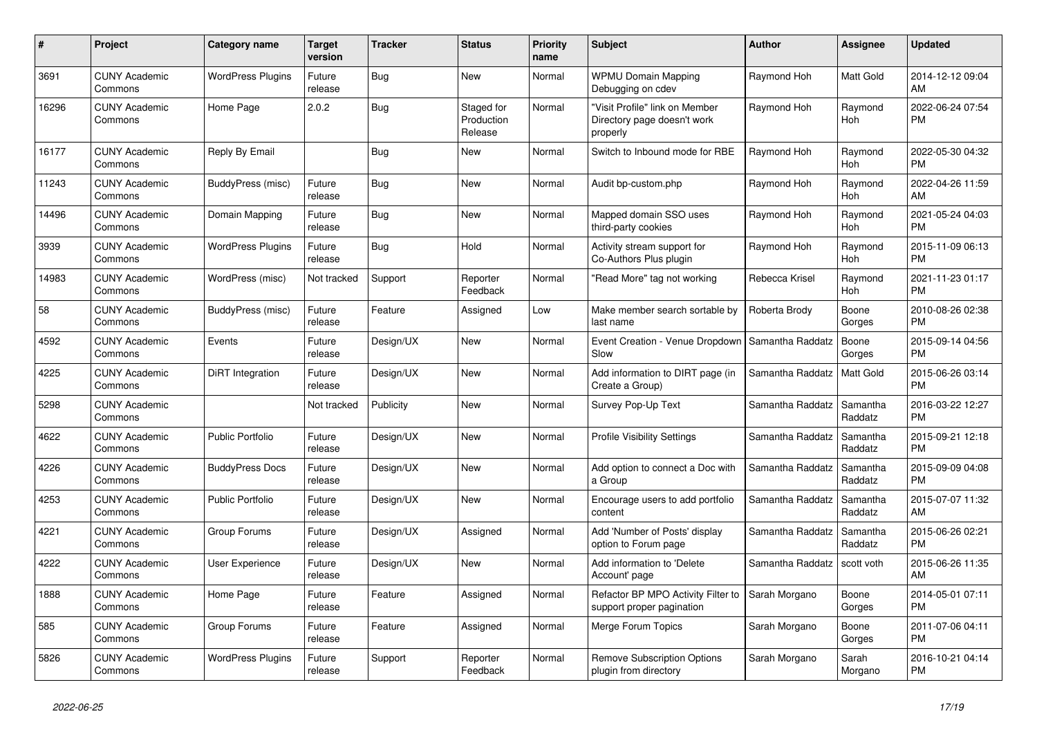| $\#$  | Project                         | <b>Category name</b>     | <b>Target</b><br>version | <b>Tracker</b> | <b>Status</b>                       | <b>Priority</b><br>name | <b>Subject</b>                                                            | <b>Author</b>    | <b>Assignee</b>       | <b>Updated</b>                |
|-------|---------------------------------|--------------------------|--------------------------|----------------|-------------------------------------|-------------------------|---------------------------------------------------------------------------|------------------|-----------------------|-------------------------------|
| 3691  | <b>CUNY Academic</b><br>Commons | <b>WordPress Plugins</b> | Future<br>release        | <b>Bug</b>     | <b>New</b>                          | Normal                  | <b>WPMU Domain Mapping</b><br>Debugging on cdev                           | Raymond Hoh      | <b>Matt Gold</b>      | 2014-12-12 09:04<br>AM        |
| 16296 | <b>CUNY Academic</b><br>Commons | Home Page                | 2.0.2                    | Bug            | Staged for<br>Production<br>Release | Normal                  | "Visit Profile" link on Member<br>Directory page doesn't work<br>properly | Raymond Hoh      | Raymond<br>Hoh        | 2022-06-24 07:54<br><b>PM</b> |
| 16177 | <b>CUNY Academic</b><br>Commons | Reply By Email           |                          | Bug            | <b>New</b>                          | Normal                  | Switch to Inbound mode for RBE                                            | Raymond Hoh      | Raymond<br>Hoh        | 2022-05-30 04:32<br><b>PM</b> |
| 11243 | <b>CUNY Academic</b><br>Commons | BuddyPress (misc)        | Future<br>release        | Bug            | New                                 | Normal                  | Audit bp-custom.php                                                       | Raymond Hoh      | Raymond<br>Hoh        | 2022-04-26 11:59<br>AM        |
| 14496 | <b>CUNY Academic</b><br>Commons | Domain Mapping           | Future<br>release        | <b>Bug</b>     | <b>New</b>                          | Normal                  | Mapped domain SSO uses<br>third-party cookies                             | Raymond Hoh      | Raymond<br><b>Hoh</b> | 2021-05-24 04:03<br><b>PM</b> |
| 3939  | <b>CUNY Academic</b><br>Commons | <b>WordPress Plugins</b> | Future<br>release        | Bug            | Hold                                | Normal                  | Activity stream support for<br>Co-Authors Plus plugin                     | Raymond Hoh      | Raymond<br>Hoh        | 2015-11-09 06:13<br><b>PM</b> |
| 14983 | <b>CUNY Academic</b><br>Commons | WordPress (misc)         | Not tracked              | Support        | Reporter<br>Feedback                | Normal                  | 'Read More" tag not working                                               | Rebecca Krisel   | Raymond<br>Hoh        | 2021-11-23 01:17<br><b>PM</b> |
| 58    | <b>CUNY Academic</b><br>Commons | BuddyPress (misc)        | Future<br>release        | Feature        | Assigned                            | Low                     | Make member search sortable by<br>last name                               | Roberta Brody    | Boone<br>Gorges       | 2010-08-26 02:38<br><b>PM</b> |
| 4592  | <b>CUNY Academic</b><br>Commons | Events                   | Future<br>release        | Design/UX      | <b>New</b>                          | Normal                  | Event Creation - Venue Dropdown<br>Slow                                   | Samantha Raddatz | Boone<br>Gorges       | 2015-09-14 04:56<br><b>PM</b> |
| 4225  | <b>CUNY Academic</b><br>Commons | DiRT Integration         | Future<br>release        | Design/UX      | <b>New</b>                          | Normal                  | Add information to DIRT page (in<br>Create a Group)                       | Samantha Raddatz | Matt Gold             | 2015-06-26 03:14<br><b>PM</b> |
| 5298  | <b>CUNY Academic</b><br>Commons |                          | Not tracked              | Publicity      | <b>New</b>                          | Normal                  | Survey Pop-Up Text                                                        | Samantha Raddatz | Samantha<br>Raddatz   | 2016-03-22 12:27<br><b>PM</b> |
| 4622  | <b>CUNY Academic</b><br>Commons | <b>Public Portfolio</b>  | Future<br>release        | Design/UX      | <b>New</b>                          | Normal                  | <b>Profile Visibility Settings</b>                                        | Samantha Raddatz | Samantha<br>Raddatz   | 2015-09-21 12:18<br><b>PM</b> |
| 4226  | <b>CUNY Academic</b><br>Commons | <b>BuddyPress Docs</b>   | Future<br>release        | Design/UX      | <b>New</b>                          | Normal                  | Add option to connect a Doc with<br>a Group                               | Samantha Raddatz | Samantha<br>Raddatz   | 2015-09-09 04:08<br><b>PM</b> |
| 4253  | <b>CUNY Academic</b><br>Commons | <b>Public Portfolio</b>  | Future<br>release        | Design/UX      | <b>New</b>                          | Normal                  | Encourage users to add portfolio<br>content                               | Samantha Raddatz | Samantha<br>Raddatz   | 2015-07-07 11:32<br>AM        |
| 4221  | <b>CUNY Academic</b><br>Commons | Group Forums             | Future<br>release        | Design/UX      | Assigned                            | Normal                  | Add 'Number of Posts' display<br>option to Forum page                     | Samantha Raddatz | Samantha<br>Raddatz   | 2015-06-26 02:21<br><b>PM</b> |
| 4222  | <b>CUNY Academic</b><br>Commons | <b>User Experience</b>   | Future<br>release        | Design/UX      | <b>New</b>                          | Normal                  | Add information to 'Delete<br>Account' page                               | Samantha Raddatz | scott voth            | 2015-06-26 11:35<br>AM        |
| 1888  | <b>CUNY Academic</b><br>Commons | Home Page                | Future<br>release        | Feature        | Assigned                            | Normal                  | Refactor BP MPO Activity Filter to<br>support proper pagination           | Sarah Morgano    | Boone<br>Gorges       | 2014-05-01 07:11<br><b>PM</b> |
| 585   | <b>CUNY Academic</b><br>Commons | Group Forums             | Future<br>release        | Feature        | Assigned                            | Normal                  | Merge Forum Topics                                                        | Sarah Morgano    | Boone<br>Gorges       | 2011-07-06 04:11<br><b>PM</b> |
| 5826  | <b>CUNY Academic</b><br>Commons | <b>WordPress Plugins</b> | Future<br>release        | Support        | Reporter<br>Feedback                | Normal                  | <b>Remove Subscription Options</b><br>plugin from directory               | Sarah Morgano    | Sarah<br>Morgano      | 2016-10-21 04:14<br><b>PM</b> |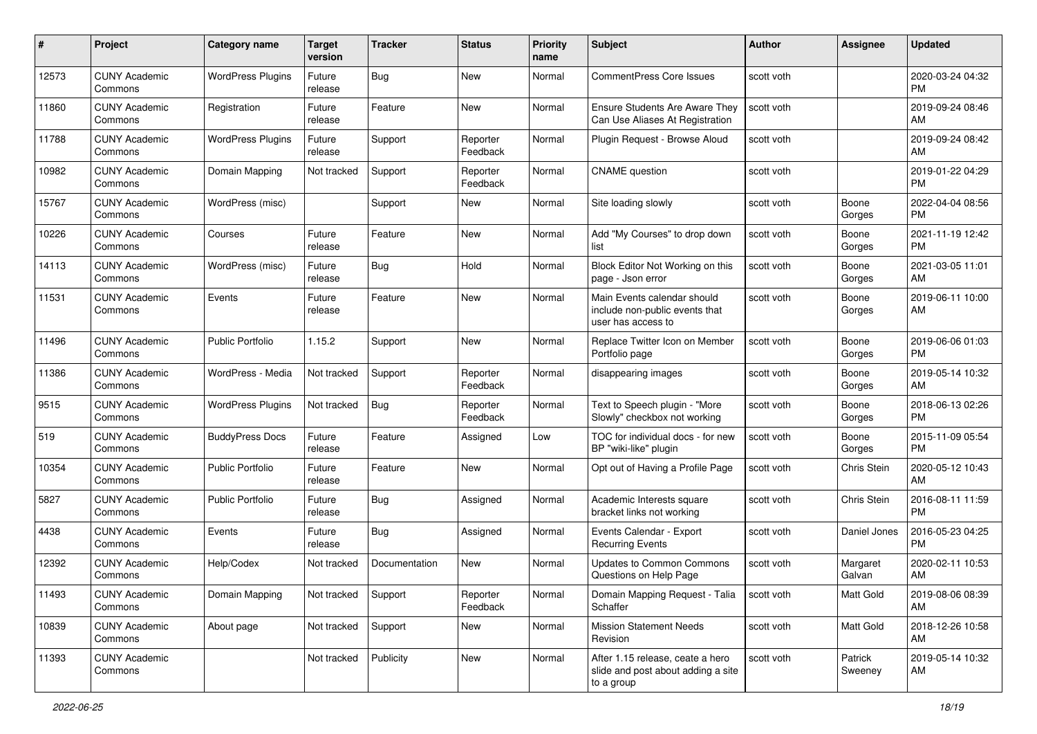| #     | Project                         | <b>Category name</b>     | <b>Target</b><br>version | <b>Tracker</b> | <b>Status</b>        | <b>Priority</b><br>name | Subject                                                                              | Author     | <b>Assignee</b>    | <b>Updated</b>                |
|-------|---------------------------------|--------------------------|--------------------------|----------------|----------------------|-------------------------|--------------------------------------------------------------------------------------|------------|--------------------|-------------------------------|
| 12573 | <b>CUNY Academic</b><br>Commons | <b>WordPress Plugins</b> | Future<br>release        | <b>Bug</b>     | New                  | Normal                  | <b>CommentPress Core Issues</b>                                                      | scott voth |                    | 2020-03-24 04:32<br>PM        |
| 11860 | <b>CUNY Academic</b><br>Commons | Registration             | Future<br>release        | Feature        | New                  | Normal                  | Ensure Students Are Aware They<br>Can Use Aliases At Registration                    | scott voth |                    | 2019-09-24 08:46<br>AM        |
| 11788 | <b>CUNY Academic</b><br>Commons | <b>WordPress Plugins</b> | Future<br>release        | Support        | Reporter<br>Feedback | Normal                  | Plugin Request - Browse Aloud                                                        | scott voth |                    | 2019-09-24 08:42<br>AM        |
| 10982 | <b>CUNY Academic</b><br>Commons | Domain Mapping           | Not tracked              | Support        | Reporter<br>Feedback | Normal                  | <b>CNAME</b> question                                                                | scott voth |                    | 2019-01-22 04:29<br><b>PM</b> |
| 15767 | <b>CUNY Academic</b><br>Commons | WordPress (misc)         |                          | Support        | New                  | Normal                  | Site loading slowly                                                                  | scott voth | Boone<br>Gorges    | 2022-04-04 08:56<br><b>PM</b> |
| 10226 | <b>CUNY Academic</b><br>Commons | Courses                  | Future<br>release        | Feature        | <b>New</b>           | Normal                  | Add "My Courses" to drop down<br>list                                                | scott voth | Boone<br>Gorges    | 2021-11-19 12:42<br><b>PM</b> |
| 14113 | <b>CUNY Academic</b><br>Commons | WordPress (misc)         | Future<br>release        | Bug            | Hold                 | Normal                  | Block Editor Not Working on this<br>page - Json error                                | scott voth | Boone<br>Gorges    | 2021-03-05 11:01<br>AM        |
| 11531 | <b>CUNY Academic</b><br>Commons | Events                   | Future<br>release        | Feature        | <b>New</b>           | Normal                  | Main Events calendar should<br>include non-public events that<br>user has access to  | scott voth | Boone<br>Gorges    | 2019-06-11 10:00<br>AM        |
| 11496 | <b>CUNY Academic</b><br>Commons | <b>Public Portfolio</b>  | 1.15.2                   | Support        | <b>New</b>           | Normal                  | Replace Twitter Icon on Member<br>Portfolio page                                     | scott voth | Boone<br>Gorges    | 2019-06-06 01:03<br>PM        |
| 11386 | <b>CUNY Academic</b><br>Commons | WordPress - Media        | Not tracked              | Support        | Reporter<br>Feedback | Normal                  | disappearing images                                                                  | scott voth | Boone<br>Gorges    | 2019-05-14 10:32<br>AM        |
| 9515  | <b>CUNY Academic</b><br>Commons | <b>WordPress Plugins</b> | Not tracked              | Bug            | Reporter<br>Feedback | Normal                  | Text to Speech plugin - "More<br>Slowly" checkbox not working                        | scott voth | Boone<br>Gorges    | 2018-06-13 02:26<br><b>PM</b> |
| 519   | <b>CUNY Academic</b><br>Commons | <b>BuddyPress Docs</b>   | Future<br>release        | Feature        | Assigned             | Low                     | TOC for individual docs - for new<br>BP "wiki-like" plugin                           | scott voth | Boone<br>Gorges    | 2015-11-09 05:54<br><b>PM</b> |
| 10354 | <b>CUNY Academic</b><br>Commons | <b>Public Portfolio</b>  | Future<br>release        | Feature        | <b>New</b>           | Normal                  | Opt out of Having a Profile Page                                                     | scott voth | Chris Stein        | 2020-05-12 10:43<br>AM        |
| 5827  | <b>CUNY Academic</b><br>Commons | <b>Public Portfolio</b>  | Future<br>release        | Bug            | Assigned             | Normal                  | Academic Interests square<br>bracket links not working                               | scott voth | Chris Stein        | 2016-08-11 11:59<br><b>PM</b> |
| 4438  | <b>CUNY Academic</b><br>Commons | Events                   | Future<br>release        | Bug            | Assigned             | Normal                  | Events Calendar - Export<br><b>Recurring Events</b>                                  | scott voth | Daniel Jones       | 2016-05-23 04:25<br><b>PM</b> |
| 12392 | <b>CUNY Academic</b><br>Commons | Help/Codex               | Not tracked              | Documentation  | New                  | Normal                  | <b>Updates to Common Commons</b><br>Questions on Help Page                           | scott voth | Margaret<br>Galvan | 2020-02-11 10:53<br>AM        |
| 11493 | <b>CUNY Academic</b><br>Commons | Domain Mapping           | Not tracked              | Support        | Reporter<br>Feedback | Normal                  | Domain Mapping Request - Talia<br>Schaffer                                           | scott voth | Matt Gold          | 2019-08-06 08:39<br>AM        |
| 10839 | <b>CUNY Academic</b><br>Commons | About page               | Not tracked              | Support        | New                  | Normal                  | <b>Mission Statement Needs</b><br>Revision                                           | scott voth | Matt Gold          | 2018-12-26 10:58<br>AM        |
| 11393 | <b>CUNY Academic</b><br>Commons |                          | Not tracked              | Publicity      | New                  | Normal                  | After 1.15 release, ceate a hero<br>slide and post about adding a site<br>to a group | scott voth | Patrick<br>Sweeney | 2019-05-14 10:32<br>AM        |